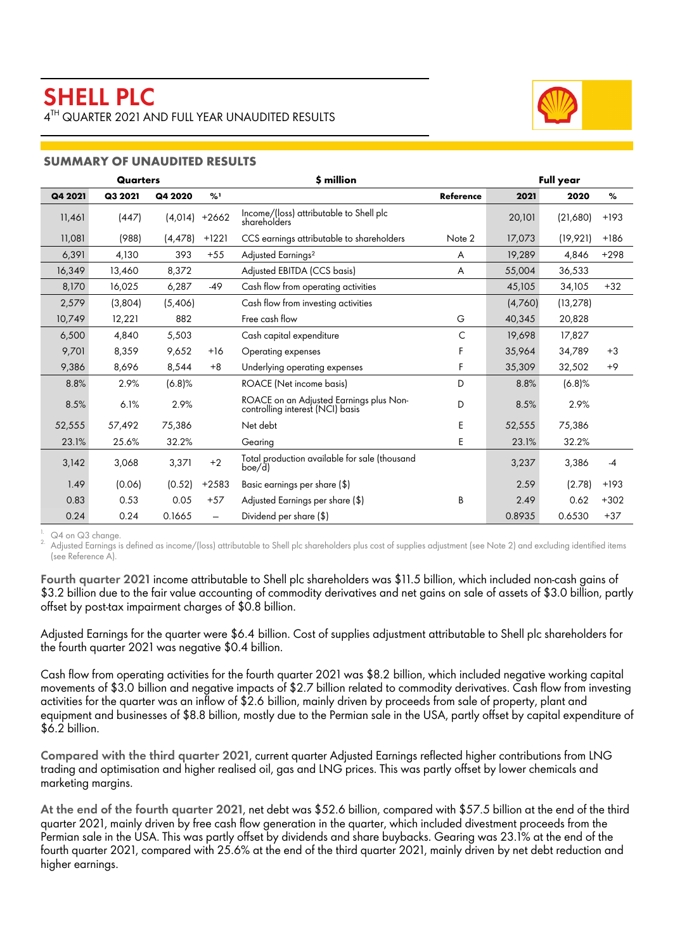

# **SUMMARY OF UNAUDITED RESULTS**

|         | <b>Quarters</b> |           |         | \$ million                                                                  | <b>Full year</b> |         |           |        |
|---------|-----------------|-----------|---------|-----------------------------------------------------------------------------|------------------|---------|-----------|--------|
| Q4 2021 | Q3 2021         | Q4 2020   | %1      |                                                                             | <b>Reference</b> | 2021    | 2020      | %      |
| 11,461  | (447)           | (4, 014)  | $+2662$ | Income/(loss) attributable to Shell plc<br>shareholders                     |                  | 20,101  | (21,680)  | $+193$ |
| 11,081  | (988)           | (4, 478)  | $+1221$ | CCS earnings attributable to shareholders                                   | Note 2           | 17,073  | (19, 921) | $+186$ |
| 6,391   | 4,130           | 393       | $+55$   | Adjusted Earnings <sup>2</sup>                                              | A                | 19,289  | 4,846     | $+298$ |
| 16,349  | 13,460          | 8,372     |         | Adjusted EBITDA (CCS basis)                                                 | A                | 55,004  | 36,533    |        |
| 8,170   | 16,025          | 6,287     | $-49$   | Cash flow from operating activities                                         |                  | 45,105  | 34,105    | $+32$  |
| 2,579   | (3,804)         | (5,406)   |         | Cash flow from investing activities                                         |                  | (4,760) | (13, 278) |        |
| 10,749  | 12,221          | 882       |         | Free cash flow                                                              | G                |         | 20,828    |        |
| 6,500   | 4,840           | 5,503     |         | C<br>Cash capital expenditure                                               |                  | 19,698  | 17,827    |        |
| 9,701   | 8,359           | 9,652     | $+16$   | Operating expenses                                                          |                  | 35,964  | 34,789    | $+3$   |
| 9,386   | 8,696           | 8,544     | $+8$    | Underlying operating expenses                                               | F                | 35,309  | 32,502    | $+9$   |
| 8.8%    | 2.9%            | $(6.8)$ % |         | <b>ROACE</b> (Net income basis)                                             | D                | 8.8%    | $(6.8)$ % |        |
| 8.5%    | 6.1%            | 2.9%      |         | ROACE on an Adjusted Earnings plus Non-<br>controlling interest (NCI) basis | D                | 8.5%    | 2.9%      |        |
| 52,555  | 57,492          | 75,386    |         | Net debt                                                                    | E                | 52,555  | 75,386    |        |
| 23.1%   | 25.6%           | 32.2%     |         | Gearing                                                                     | E                | 23.1%   | 32.2%     |        |
| 3,142   | 3,068           | 3,371     | $+2$    | Total production available for sale (thousand<br>boe/d)                     |                  | 3,237   | 3,386     | $-4$   |
| 1.49    | (0.06)          | (0.52)    | $+2583$ | Basic earnings per share (\$)                                               |                  | 2.59    | (2.78)    | $+193$ |
| 0.83    | 0.53            | 0.05      | $+57$   | Adjusted Earnings per share (\$)                                            | B                | 2.49    | 0.62      | $+302$ |
| 0.24    | 0.24            | 0.1665    |         | Dividend per share (\$)                                                     |                  | 0.8935  | 0.6530    | $+37$  |

 $1.$  Q4 on Q3 change

<sup>2.</sup> Adjusted Earnings is defined as income/(loss) attributable to Shell plc shareholders plus cost of supplies adjustment (see Note 2) and excluding identified items (see Reference A).

Fourth quarter 2021 income attributable to Shell plc shareholders was \$11.5 billion, which included non-cash gains of \$3.2 billion due to the fair value accounting of commodity derivatives and net gains on sale of assets of \$3.0 billion, partly offset by post-tax impairment charges of \$0.8 billion.

Adjusted Earnings for the quarter were \$6.4 billion. Cost of supplies adjustment attributable to Shell plc shareholders for the fourth quarter 2021 was negative \$0.4 billion.

Cash flow from operating activities for the fourth quarter 2021 was \$8.2 billion, which included negative working capital movements of \$3.0 billion and negative impacts of \$2.7 billion related to commodity derivatives. Cash flow from investing activities for the quarter was an inflow of \$2.6 billion, mainly driven by proceeds from sale of property, plant and equipment and businesses of \$8.8 billion, mostly due to the Permian sale in the USA, partly offset by capital expenditure of \$6.2 billion.

Compared with the third quarter 2021, current quarter Adjusted Earnings reflected higher contributions from LNG trading and optimisation and higher realised oil, gas and LNG prices. This was partly offset by lower chemicals and marketing margins.

At the end of the fourth quarter 2021, net debt was \$52.6 billion, compared with \$57.5 billion at the end of the third quarter 2021, mainly driven by free cash flow generation in the quarter, which included divestment proceeds from the Permian sale in the USA. This was partly offset by dividends and share buybacks. Gearing was 23.1% at the end of the fourth quarter 2021, compared with 25.6% at the end of the third quarter 2021, mainly driven by net debt reduction and higher earnings.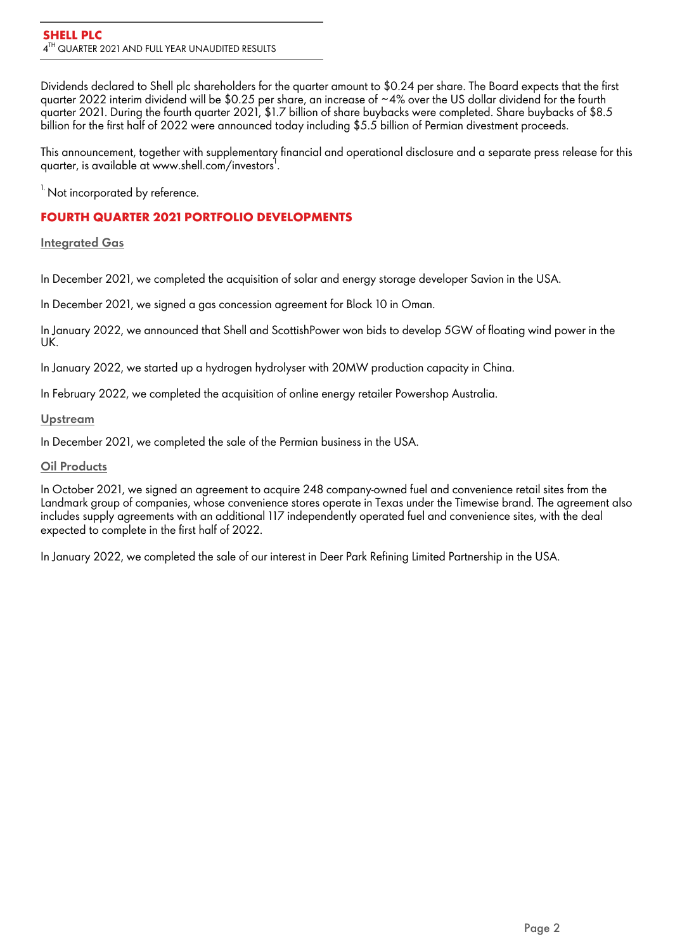Dividends declared to Shell plc shareholders for the quarter amount to \$0.24 per share. The Board expects that the first quarter 2022 interim dividend will be \$0.25 per share, an increase of ~4% over the US dollar dividend for the fourth quarter 2021. During the fourth quarter 2021, \$1.7 billion of share buybacks were completed. Share buybacks of \$8.5 billion for the first half of 2022 were announced today including \$5.5 billion of Permian divestment proceeds.

This announcement, together with supplementary financial and operational disclosure and a separate press release for this quarter, is available at www.shell.com/investors<sup>1</sup>.

<sup>1.</sup> Not incorporated by reference.

# **FOURTH QUARTER 2021 PORTFOLIO DEVELOPMENTS**

## **Integrated Gas**

In December 2021, we completed the acquisition of solar and energy storage developer Savion in the USA.

In December 2021, we signed a gas concession agreement for Block 10 in Oman.

In January 2022, we announced that Shell and ScottishPower won bids to develop 5GW of floating wind power in the UK.

In January 2022, we started up a hydrogen hydrolyser with 20MW production capacity in China.

In February 2022, we completed the acquisition of online energy retailer Powershop Australia.

# **Upstream**

In December 2021, we completed the sale of the Permian business in the USA.

# **Oil Products**

In October 2021, we signed an agreement to acquire 248 company-owned fuel and convenience retail sites from the Landmark group of companies, whose convenience stores operate in Texas under the Timewise brand. The agreement also includes supply agreements with an additional 117 independently operated fuel and convenience sites, with the deal expected to complete in the first half of 2022.

In January 2022, we completed the sale of our interest in Deer Park Refining Limited Partnership in the USA.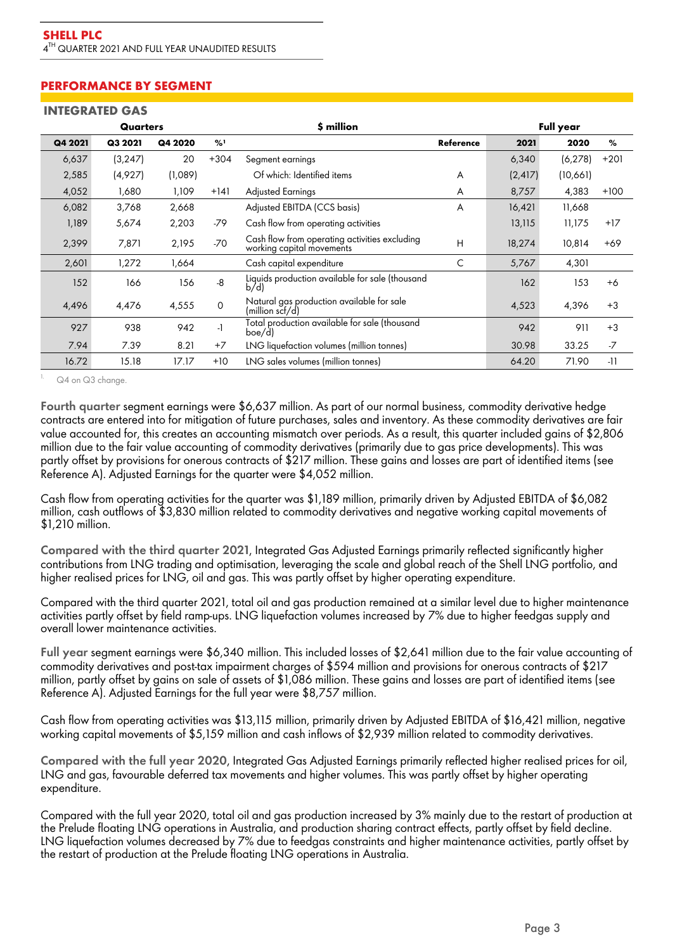# **PERFORMANCE BY SEGMENT**

#### **INTEGRATED GAS**

|         | Quarters |         |               | \$ million                                                                      |                  |          | <b>Full year</b> |        |  |
|---------|----------|---------|---------------|---------------------------------------------------------------------------------|------------------|----------|------------------|--------|--|
| Q4 2021 | Q3 2021  | Q4 2020 | $\frac{9}{2}$ |                                                                                 | <b>Reference</b> | 2021     | 2020             | %      |  |
| 6,637   | (3, 247) | 20      | $+304$        | Segment earnings                                                                |                  | 6,340    | (6, 278)         | $+201$ |  |
| 2,585   | (4,927)  | (1,089) |               | Of which: Identified items<br>A                                                 |                  | (2, 417) | (10,661)         |        |  |
| 4,052   | 1,680    | 1.109   | $+141$        | <b>Adjusted Earnings</b><br>A                                                   |                  | 8,757    | 4,383            | $+100$ |  |
| 6,082   | 3,768    | 2,668   |               | Adjusted EBITDA (CCS basis)                                                     | A                | 16,421   | 11,668           |        |  |
| 1,189   | 5,674    | 2,203   | -79           | Cash flow from operating activities                                             |                  | 13,115   | 11,175           | $+17$  |  |
| 2,399   | 7,871    | 2,195   | $-70$         | Cash flow from operating activities excluding<br>H<br>working capital movements |                  | 18,274   | 10,814           | $+69$  |  |
| 2,601   | 1,272    | 1,664   |               | Cash capital expenditure                                                        | C                |          | 4,301            |        |  |
| 152     | 166      | 156     | -8            | Liquids production available for sale (thousand<br>b/d                          |                  | 162      | 153              | $+6$   |  |
| 4,496   | 4,476    | 4,555   | $\mathbf 0$   | Natural gas production available for sale<br>(million scf/d)                    |                  | 4,523    | 4,396            | $+3$   |  |
| 927     | 938      | 942     | $\cdot$       | Total production available for sale (thousand<br>boe/d                          |                  | 942      | 911              | $+3$   |  |
| 7.94    | 7.39     | 8.21    | $+7$          | LNG liquefaction volumes (million tonnes)                                       |                  | 30.98    | 33.25            | $-7$   |  |
| 16.72   | 15.18    | 17.17   | $+10$         | LNG sales volumes (million tonnes)                                              |                  | 64.20    | 71.90            | $-11$  |  |

Q4 on Q3 change.

Fourth quarter segment earnings were \$6,637 million. As part of our normal business, commodity derivative hedge contracts are entered into for mitigation of future purchases, sales and inventory. As these commodity derivatives are fair value accounted for, this creates an accounting mismatch over periods. As a result, this quarter included gains of \$2,806 million due to the fair value accounting of commodity derivatives (primarily due to gas price developments). This was partly offset by provisions for onerous contracts of \$217 million. These gains and losses are part of identified items (see Reference A). Adjusted Earnings for the quarter were \$4,052 million.

Cash flow from operating activities for the quarter was \$1,189 million, primarily driven by Adjusted EBITDA of \$6,082 million, cash outflows of \$3,830 million related to commodity derivatives and negative working capital movements of \$1,210 million.

Compared with the third quarter 2021, Integrated Gas Adjusted Earnings primarily reflected significantly higher contributions from LNG trading and optimisation, leveraging the scale and global reach of the Shell LNG portfolio, and higher realised prices for LNG, oil and gas. This was partly offset by higher operating expenditure.

Compared with the third quarter 2021, total oil and gas production remained at a similar level due to higher maintenance activities partly offset by field ramp-ups. LNG liquefaction volumes increased by 7% due to higher feedgas supply and overall lower maintenance activities.

Full year segment earnings were \$6,340 million. This included losses of \$2,641 million due to the fair value accounting of commodity derivatives and post-tax impairment charges of \$594 million and provisions for onerous contracts of \$217 million, partly offset by gains on sale of assets of \$1,086 million. These gains and losses are part of identified items (see Reference A). Adjusted Earnings for the full year were \$8,757 million.

Cash flow from operating activities was \$13,115 million, primarily driven by Adjusted EBITDA of \$16,421 million, negative working capital movements of \$5,159 million and cash inflows of \$2,939 million related to commodity derivatives.

Compared with the full year 2020, Integrated Gas Adjusted Earnings primarily reflected higher realised prices for oil, LNG and gas, favourable deferred tax movements and higher volumes. This was partly offset by higher operating expenditure.

Compared with the **full year 2020**, total oil and gas production increased by 3% mainly due to the restart of production at the Prelude floating LNG operations in Australia, and production sharing contract effects, partly offset by field decline. LNG liquefaction volumes decreased by 7% due to feedgas constraints and higher maintenance activities, partly offset by the restart of production at the Prelude floating LNG operations in Australia.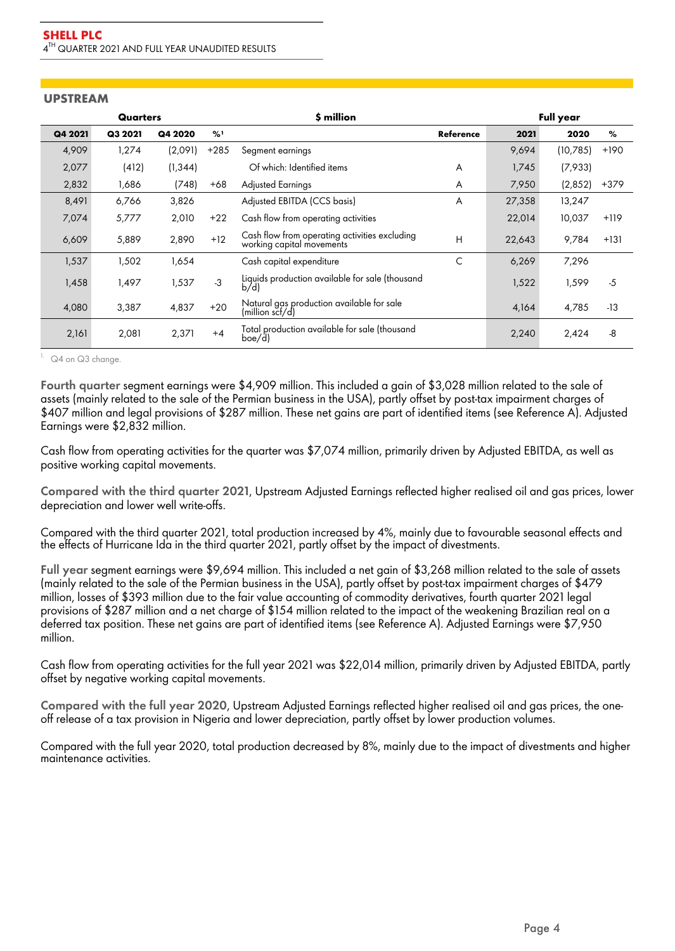### **UPSTREAM**

|         | Quarters |          |        | \$ million                                                                      |           |        | <b>Full year</b> |        |  |
|---------|----------|----------|--------|---------------------------------------------------------------------------------|-----------|--------|------------------|--------|--|
| Q4 2021 | Q3 2021  | Q4 2020  | %1     |                                                                                 | Reference | 2021   | 2020             | %      |  |
| 4,909   | 1,274    | (2,091)  | $+285$ | Segment earnings                                                                |           | 9,694  | (10,785)         | $+190$ |  |
| 2,077   | (412)    | (1, 344) |        | Of which: Identified items                                                      | A         | 1,745  | (7,933)          |        |  |
| 2,832   | 1,686    | (748)    | +68    | <b>Adjusted Earnings</b>                                                        | A         | 7,950  | (2,852)          | $+379$ |  |
| 8,491   | 6,766    | 3,826    |        | Adjusted EBITDA (CCS basis)                                                     | A         | 27,358 | 13,247           |        |  |
| 7,074   | 5,777    | 2,010    | $+22$  | Cash flow from operating activities                                             |           | 22,014 | 10,037           | $+119$ |  |
| 6,609   | 5,889    | 2,890    | $+12$  | Cash flow from operating activities excluding<br>H<br>working capital movements |           | 22,643 | 9,784            | $+131$ |  |
| 1,537   | 1,502    | 1,654    |        | Cash capital expenditure                                                        | C         | 6,269  | 7,296            |        |  |
| 1,458   | 1,497    | 1,537    | $-3$   | Liquids production available for sale (thousand<br>b/d                          |           | 1,522  | 1,599            | $-5$   |  |
| 4,080   | 3,387    | 4,837    | $+20$  | Natural gas production available for sale<br>(million scf/d)                    |           | 4,164  | 4,785            | $-13$  |  |
| 2,161   | 2,081    | 2,371    | $+4$   | Total production available for sale (thousand<br>boe/d)                         |           | 2,240  | 2,424            | -8     |  |

 $1.$  Q4 on Q3 change.

Fourth quarter segment earnings were \$4,909 million. This included a gain of \$3,028 million related to the sale of assets (mainly related to the sale of the Permian business in the USA), partly offset by post-tax impairment charges of \$407 million and legal provisions of \$287 million. These net gains are part of identified items (see Reference A). Adjusted Earnings were \$2,832 million.

Cash flow from operating activities for the quarter was \$7,074 million, primarily driven by Adjusted EBITDA, as well as positive working capital movements.

Compared with the third quarter 2021, Upstream Adjusted Earnings reflected higher realised oil and gas prices, lower depreciation and lower well write-offs.

Compared with the third quarter 2021, total production increased by 4%, mainly due to favourable seasonal effects and the effects of Hurricane Ida in the third quarter 2021, partly offset by the impact of divestments.

**Full year** segment earnings were \$9,694 million. This included a net gain of \$3,268 million related to the sale of assets (mainly related to the sale of the Permian business in the USA), partly offset by post-tax impairment charges of \$479 million, losses of \$393 million due to the fair value accounting of commodity derivatives, fourth quarter 2021 legal provisions of \$287 million and a net charge of \$154 million related to the impact of the weakening Brazilian real on a deferred tax position. These net gains are part of identified items (see Reference A). Adjusted Earnings were \$7,950 million.

Cash flow from operating activities for the full year 2021 was \$22,014 million, primarily driven by Adjusted EBITDA, partly offset by negative working capital movements.

Compared with the **full year 2020**, Upstream Adjusted Earnings reflected higher realised oil and gas prices, the oneoff release of a tax provision in Nigeria and lower depreciation, partly offset by lower production volumes.

Compared with the **full year 2020**, total production decreased by 8%, mainly due to the impact of divestments and higher maintenance activities.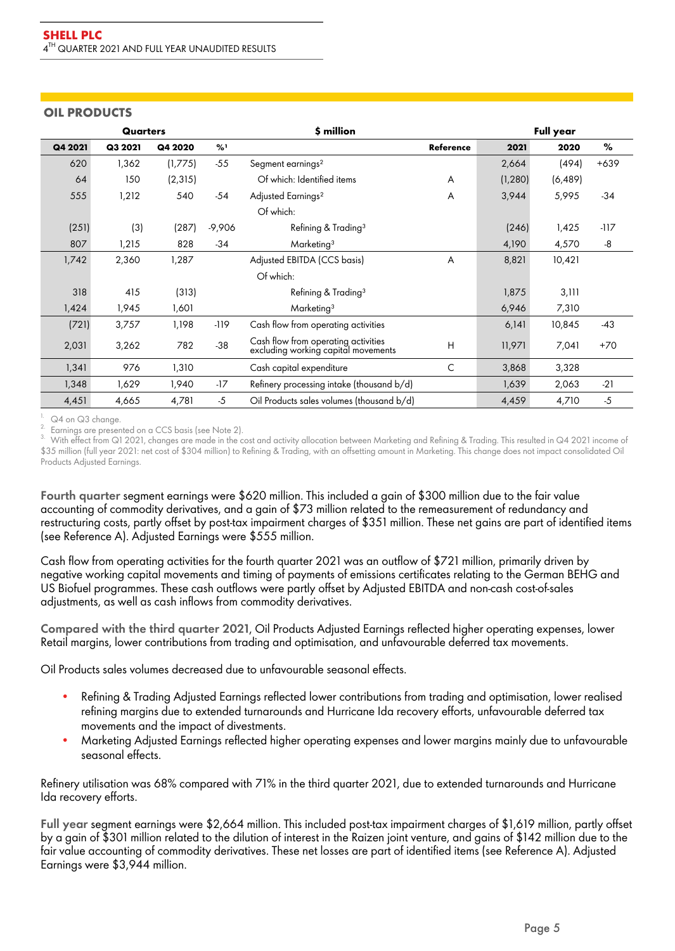## **OIL PRODUCTS**

|         | <b>Quarters</b> |          |               | \$ million                                                                 | <b>Full year</b> |          |          |        |
|---------|-----------------|----------|---------------|----------------------------------------------------------------------------|------------------|----------|----------|--------|
| Q4 2021 | Q3 2021         | Q4 2020  | $\frac{9}{6}$ |                                                                            | <b>Reference</b> | 2021     | 2020     | $\%$   |
| 620     | 1,362           | (1,775)  | $-55$         | Segment earnings <sup>2</sup>                                              |                  | 2,664    | (494)    | $+639$ |
| 64      | 150             | (2, 315) |               | Of which: Identified items                                                 | A                | (1, 280) | (6, 489) |        |
| 555     | 1,212           | 540      | $-54$         | Adjusted Earnings <sup>2</sup>                                             | A                |          | 5,995    | $-34$  |
|         |                 |          |               | Of which:                                                                  |                  |          |          |        |
| (251)   | (3)             | (287)    | $-9,906$      | Refining & Trading <sup>3</sup>                                            |                  |          | 1,425    | $-117$ |
| 807     | 1,215           | 828      | $-34$         | Marketing <sup>3</sup>                                                     |                  | 4,190    | 4,570    | -8     |
| 1,742   | 2,360           | 1,287    |               | Adjusted EBITDA (CCS basis)<br>A                                           |                  | 8,821    | 10,421   |        |
|         |                 |          |               | Of which:                                                                  |                  |          |          |        |
| 318     | 415             | (313)    |               | Refining & Trading <sup>3</sup>                                            |                  | 1,875    | 3,111    |        |
| 1,424   | 1,945           | 1,601    |               | Marketing <sup>3</sup>                                                     |                  | 6,946    | 7,310    |        |
| (721)   | 3,757           | 1,198    | -119          | Cash flow from operating activities                                        |                  | 6,141    | 10,845   | $-43$  |
| 2,031   | 3,262           | 782      | $-38$         | Cash flow from operating activities<br>excluding working capital movements | H                | 11,971   | 7,041    | $+70$  |
| 1,341   | 976             | 1,310    |               | Cash capital expenditure                                                   | C                | 3,868    | 3,328    |        |
| 1,348   | 1,629           | 1,940    | $-17$         | Refinery processing intake (thousand b/d)                                  |                  | 1,639    | 2,063    | $-21$  |
| 4,451   | 4,665           | 4,781    | $-5$          | Oil Products sales volumes (thousand b/d)                                  |                  | 4,459    | 4,710    | $-5$   |

Q4 on Q3 change.

 $2.$  Earnings are presented on a CCS basis (see Note 2).

With effect from Q1 2021, changes are made in the cost and activity allocation between Marketing and Refining & Trading. This resulted in Q4 2021 income of \$35 million (full year 2021: net cost of \$304 million) to Refining & Trading, with an offsetting amount in Marketing. This change does not impact consolidated Oil Products Adjusted Earnings.

Fourth quarter segment earnings were \$620 million. This included a gain of \$300 million due to the fair value accounting of commodity derivatives, and a gain of \$73 million related to the remeasurement of redundancy and restructuring costs, partly offset by post-tax impairment charges of \$351 million. These net gains are part of identified items (see Reference A). Adjusted Earnings were \$555 million.

Cash flow from operating activities for the fourth quarter 2021 was an outflow of \$721 million, primarily driven by negative working capital movements and timing of payments of emissions certificates relating to the German BEHG and US Biofuel programmes. These cash outflows were partly offset by Adjusted EBITDA and non-cash cost-of-sales adjustments, as well as cash inflows from commodity derivatives.

Compared with the third quarter 2021, Oil Products Adjusted Earnings reflected higher operating expenses, lower Retail margins, lower contributions from trading and optimisation, and unfavourable deferred tax movements.

Oil Products sales volumes decreased due to unfavourable seasonal effects.

- Refining & Trading Adjusted Earnings reflected lower contributions from trading and optimisation, lower realised refining margins due to extended turnarounds and Hurricane Ida recovery efforts, unfavourable deferred tax movements and the impact of divestments.
- Marketing Adjusted Earnings reflected higher operating expenses and lower margins mainly due to unfavourable seasonal effects.

Refinery utilisation was 68% compared with 71% in the third quarter 2021, due to extended turnarounds and Hurricane Ida recovery efforts.

Full year segment earnings were \$2,664 million. This included post-tax impairment charges of \$1,619 million, partly offset by a gain of \$301 million related to the dilution of interest in the Raizen joint venture, and gains of \$142 million due to the fair value accounting of commodity derivatives. These net losses are part of identified items (see Reference A). Adjusted Earnings were \$3,944 million.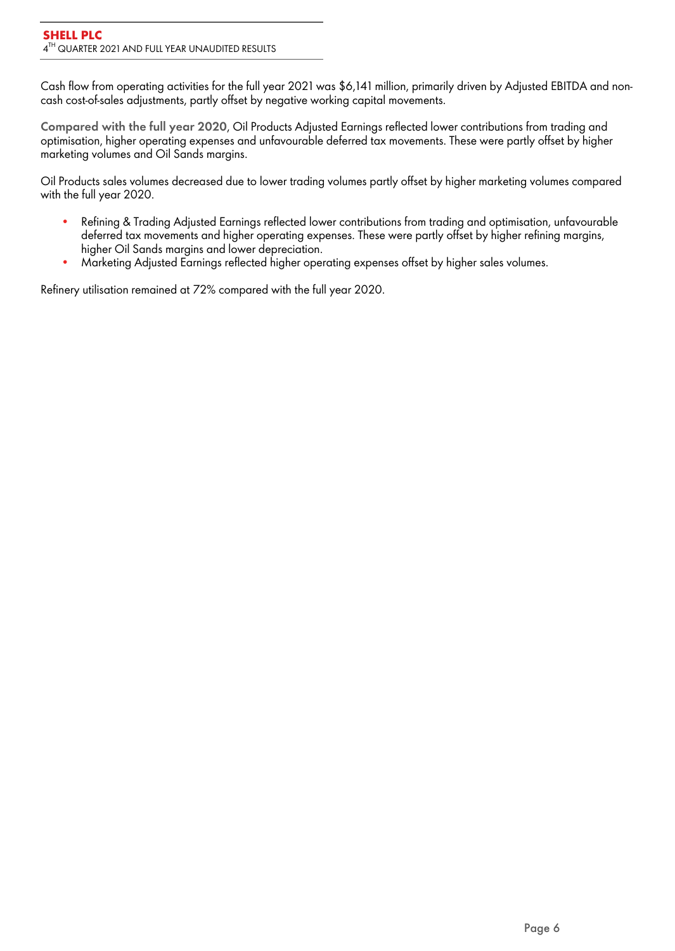Cash flow from operating activities for the full year 2021 was \$6,141 million, primarily driven by Adjusted EBITDA and noncash cost-of-sales adjustments, partly offset by negative working capital movements.

Compared with the full year 2020, Oil Products Adjusted Earnings reflected lower contributions from trading and optimisation, higher operating expenses and unfavourable deferred tax movements. These were partly offset by higher marketing volumes and Oil Sands margins.

Oil Products sales volumes decreased due to lower trading volumes partly offset by higher marketing volumes compared with the full year 2020.

- Refining & Trading Adjusted Earnings reflected lower contributions from trading and optimisation, unfavourable deferred tax movements and higher operating expenses. These were partly offset by higher refining margins, higher Oil Sands margins and lower depreciation.
- Marketing Adjusted Earnings reflected higher operating expenses offset by higher sales volumes.

Refinery utilisation remained at 72% compared with the full year 2020.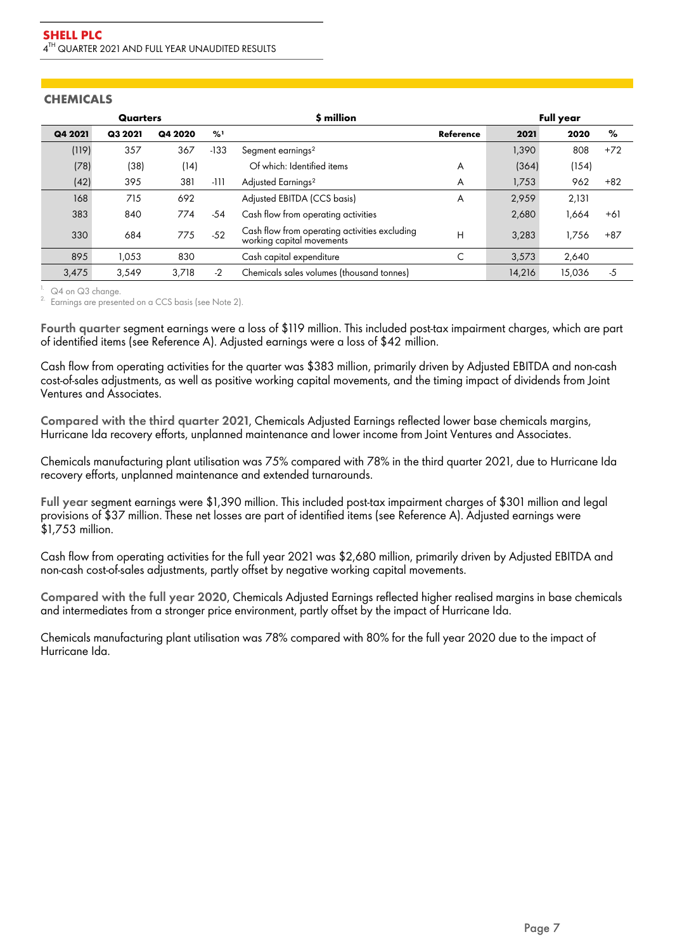|         | Quarters |         |               | \$ million                                                                 | Full year |        |        |       |
|---------|----------|---------|---------------|----------------------------------------------------------------------------|-----------|--------|--------|-------|
| Q4 2021 | Q3 2021  | Q4 2020 | $\frac{9}{6}$ |                                                                            | Reference | 2021   | 2020   | %     |
| (119)   | 357      | 367     | $-133$        | Segment earnings <sup>2</sup>                                              |           | 1,390  | 808    | $+72$ |
| (78)    | (38)     | (14)    |               | Of which: Identified items                                                 | A         | (364)  | (154)  |       |
| (42)    | 395      | 381     | -111          | Adjusted Earnings <sup>2</sup>                                             | A         | 1,753  | 962    | $+82$ |
| 168     | 715      | 692     |               | Adjusted EBITDA (CCS basis)                                                | A         | 2,959  | 2,131  |       |
| 383     | 840      | 774     | $-54$         | Cash flow from operating activities                                        |           | 2,680  | 664.ا  | $+61$ |
| 330     | 684      | 775     | $-52$         | Cash flow from operating activities excluding<br>working capital movements | Н         | 3,283  | 1,756  | $+87$ |
| 895     | 1.053    | 830     |               | Cash capital expenditure                                                   |           | 3,573  | 2.640  |       |
| 3,475   | 3.549    | 3.718   | $-2$          | Chemicals sales volumes (thousand tonnes)                                  |           | 14.216 | 15,036 | $-5$  |

## **CHEMICALS**

 $1.$  Q4 on Q3 change.

<sup>2.</sup> Earnings are presented on a CCS basis (see Note 2).

Fourth quarter segment earnings were a loss of \$119 million. This included post-tax impairment charges, which are part of identified items (see Reference A). Adjusted earnings were a loss of \$42 million.

Cash flow from operating activities for the quarter was \$383 million, primarily driven by Adjusted EBITDA and non-cash cost-of-sales adjustments, as well as positive working capital movements, and the timing impact of dividends from Joint Ventures and Associates.

Compared with the third quarter 2021, Chemicals Adjusted Earnings reflected lower base chemicals margins, Hurricane Ida recovery efforts, unplanned maintenance and lower income from Joint Ventures and Associates.

Chemicals manufacturing plant utilisation was 75% compared with 78% in the third quarter 2021, due to Hurricane Ida recovery efforts, unplanned maintenance and extended turnarounds.

Full year segment earnings were \$1,390 million. This included post-tax impairment charges of \$301 million and legal provisions of \$37 million. These net losses are part of identified items (see Reference A). Adjusted earnings were \$1,753 million.

Cash flow from operating activities for the full year 2021 was \$2,680 million, primarily driven by Adjusted EBITDA and non-cash cost-of-sales adjustments, partly offset by negative working capital movements.

Compared with the full year 2020, Chemicals Adjusted Earnings reflected higher realised margins in base chemicals and intermediates from a stronger price environment, partly offset by the impact of Hurricane Ida.

Chemicals manufacturing plant utilisation was 78% compared with 80% for the full year 2020 due to the impact of Hurricane Ida.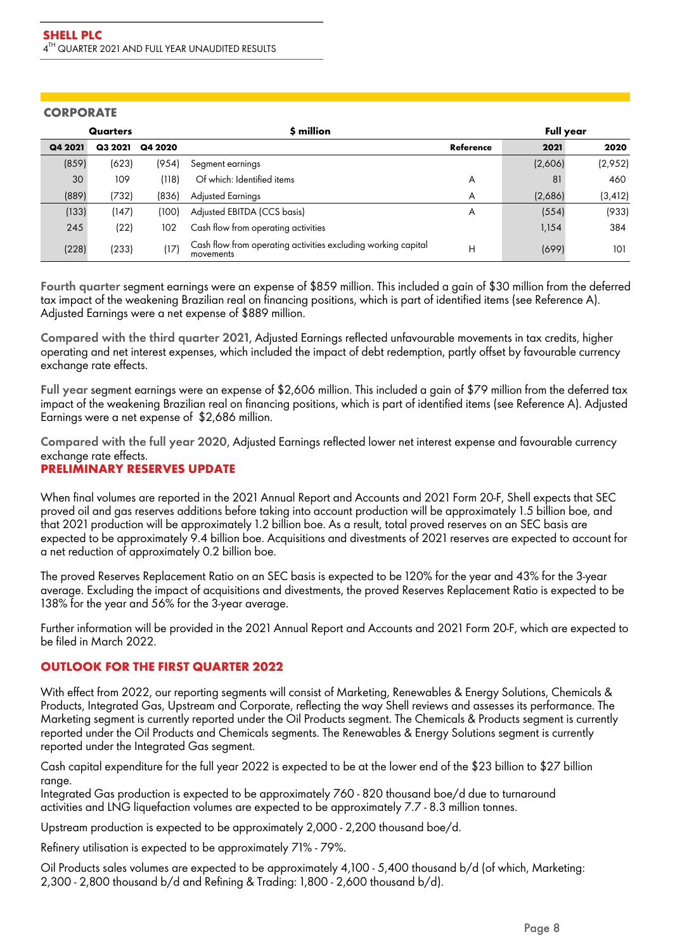### **CORPORATE**

| Quarters |         |         | \$ million                                                                 | <b>Full year</b> |         |          |
|----------|---------|---------|----------------------------------------------------------------------------|------------------|---------|----------|
| Q4 2021  | Q3 2021 | Q4 2020 |                                                                            | Reference        | 2021    | 2020     |
| (859)    | (623)   | (954)   | Segment earnings                                                           |                  | (2,606) | (2,952)  |
| 30       | 109     | (118)   | Of which: Identified items                                                 | A                | 81      | 460      |
| (889)    | (732)   | (836)   | <b>Adjusted Earnings</b>                                                   | A                | (2,686) | (3, 412) |
| (133)    | (147)   | (100)   | Adjusted EBITDA (CCS basis)                                                | A                | (554)   | (933)    |
| 245      | (22)    | 102     | Cash flow from operating activities                                        |                  | 1,154   | 384      |
| (228)    | (233)   | (17)    | Cash flow from operating activities excluding working capital<br>movements | Н                | (699)   | 101      |

Fourth quarter segment earnings were an expense of \$859 million. This included a gain of \$30 million from the deferred tax impact of the weakening Brazilian real on financing positions, which is part of identified items (see Reference A). Adjusted Earnings were a net expense of \$889 million.

Compared with the third quarter 2021, Adjusted Earnings reflected unfavourable movements in tax credits, higher operating and net interest expenses, which included the impact of debt redemption, partly offset by favourable currency exchange rate effects.

Full year segment earnings were an expense of \$2,606 million. This included a gain of \$79 million from the deferred tax impact of the weakening Brazilian real on financing positions, which is part of identified items (see Reference A). Adjusted Earnings were a net expense of \$2,686 million.

Compared with the full year 2020, Adjusted Earnings reflected lower net interest expense and favourable currency exchange rate effects.

# **PRELIMINARY RESERVES UPDATE**

When final volumes are reported in the 2021 Annual Report and Accounts and 2021 Form 20-F, Shell expects that SEC proved oil and gas reserves additions before taking into account production will be approximately 1.5 billion boe, and that 2021 production will be approximately 1.2 billion boe. As a result, total proved reserves on an SEC basis are expected to be approximately 9.4 billion boe. Acquisitions and divestments of 2021 reserves are expected to account for a net reduction of approximately 0.2 billion boe.

The proved Reserves Replacement Ratio on an SEC basis is expected to be 120% for the year and 43% for the 3-year average. Excluding the impact of acquisitions and divestments, the proved Reserves Replacement Ratio is expected to be 138% for the year and 56% for the 3-year average.

Further information will be provided in the 2021 Annual Report and Accounts and 2021 Form 20-F, which are expected to be filed in March 2022.

## **OUTLOOK FOR THE FIRST QUARTER 2022**

With effect from 2022, our reporting segments will consist of Marketing, Renewables & Energy Solutions, Chemicals & Products, Integrated Gas, Upstream and Corporate, reflecting the way Shell reviews and assesses its performance. The Marketing segment is currently reported under the Oil Products segment. The Chemicals & Products segment is currently reported under the Oil Products and Chemicals segments. The Renewables & Energy Solutions segment is currently reported under the Integrated Gas segment.

Cash capital expenditure for the full year 2022 is expected to be at the lower end of the \$23 billion to \$27 billion range.

Integrated Gas production is expected to be approximately 760 - 820 thousand boe/d due to turnaround activities and LNG liquefaction volumes are expected to be approximately 7.7 - 8.3 million tonnes.

Upstream production is expected to be approximately 2,000 - 2,200 thousand boe/d.

Refinery utilisation is expected to be approximately 71% - 79%.

Oil Products sales volumes are expected to be approximately 4,100 - 5,400 thousand b/d (of which, Marketing: 2,300 - 2,800 thousand b/d and Refining & Trading: 1,800 - 2,600 thousand b/d).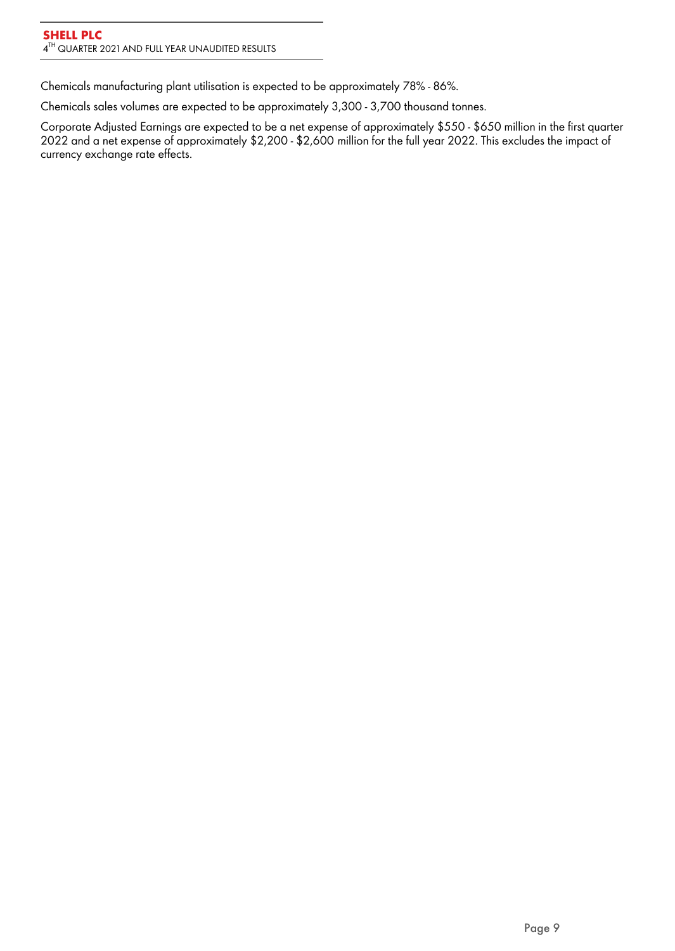Chemicals manufacturing plant utilisation is expected to be approximately 78% - 86%.

Chemicals sales volumes are expected to be approximately 3,300 - 3,700 thousand tonnes.

Corporate Adjusted Earnings are expected to be a net expense of approximately \$550 - \$650 million in the first quarter 2022 and a net expense of approximately \$2,200 - \$2,600 million for the full year 2022. This excludes the impact of currency exchange rate effects.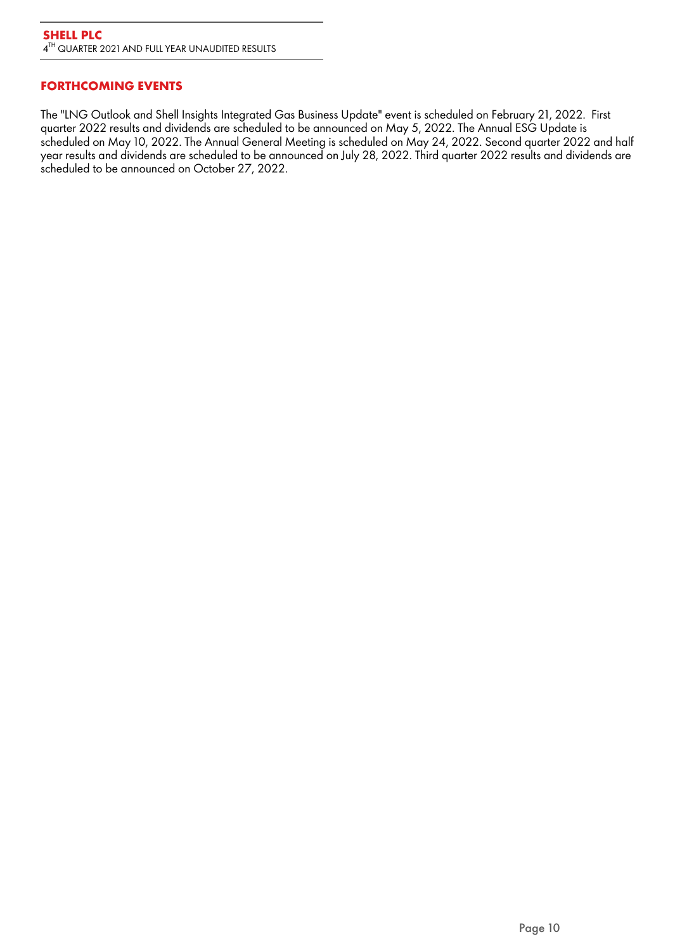# **FORTHCOMING EVENTS**

The "LNG Outlook and Shell Insights Integrated Gas Business Update" event is scheduled on February 21, 2022. First quarter 2022 results and dividends are scheduled to be announced on May 5, 2022. The Annual ESG Update is scheduled on May 10, 2022. The Annual General Meeting is scheduled on May 24, 2022. Second quarter 2022 and half year results and dividends are scheduled to be announced on July 28, 2022. Third quarter 2022 results and dividends are scheduled to be announced on October 27, 2022.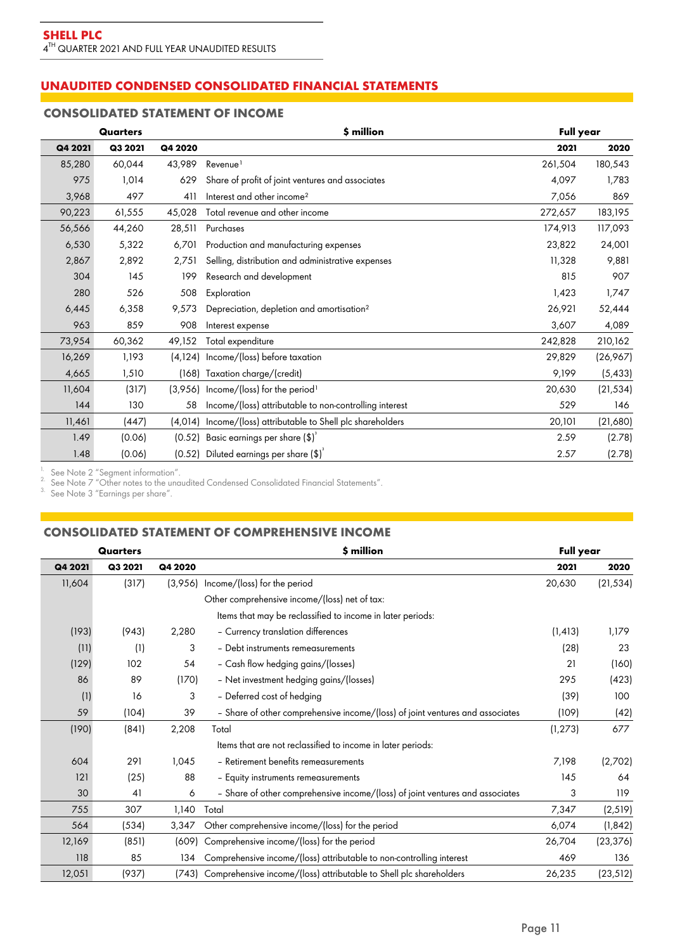# **UNAUDITED CONDENSED CONSOLIDATED FINANCIAL STATEMENTS**

# **CONSOLIDATED STATEMENT OF INCOME**

|         | Quarters |          | \$ million                                             | <b>Full year</b> |           |
|---------|----------|----------|--------------------------------------------------------|------------------|-----------|
| Q4 2021 | Q3 2021  | Q4 2020  |                                                        | 2021             | 2020      |
| 85,280  | 60,044   | 43,989   | Revenue <sup>1</sup>                                   | 261,504          | 180,543   |
| 975     | 1,014    | 629      | Share of profit of joint ventures and associates       | 4,097            | 1,783     |
| 3,968   | 497      | 411      | Interest and other income <sup>2</sup>                 | 7,056            | 869       |
| 90,223  | 61,555   | 45,028   | Total revenue and other income                         | 272,657          | 183,195   |
| 56,566  | 44,260   | 28,511   | Purchases                                              | 174,913          | 117,093   |
| 6,530   | 5,322    | 6,701    | Production and manufacturing expenses                  | 23,822           | 24,001    |
| 2,867   | 2,892    | 2,751    | Selling, distribution and administrative expenses      | 11,328           | 9,881     |
| 304     | 145      | 199      | Research and development                               | 815              | 907       |
| 280     | 526      | 508      | Exploration                                            | 1,423            | 1,747     |
| 6,445   | 6,358    | 9,573    | Depreciation, depletion and amortisation <sup>2</sup>  | 26,921           | 52,444    |
| 963     | 859      | 908      | Interest expense                                       | 3,607            | 4,089     |
| 73,954  | 60,362   | 49,152   | Total expenditure                                      | 242,828          | 210,162   |
| 16,269  | 1,193    | (4, 124) | Income/(loss) before taxation                          | 29,829           | (26,967)  |
| 4,665   | 1,510    | (168)    | Taxation charge/(credit)                               | 9,199            | (5, 433)  |
| 11,604  | (317)    | (3,956)  | Income/(loss) for the period <sup>1</sup>              | 20,630           | (21, 534) |
| 144     | 130      | 58       | Income/(loss) attributable to non-controlling interest | 529              | 146       |
| 11,461  | (447)    | (4, 014) | Income/(loss) attributable to Shell plc shareholders   | 20,101           | (21,680)  |
| 1.49    | (0.06)   | (0.52)   | Basic earnings per share $(\$)^{3}$                    | 2.59             | (2.78)    |
| 1.48    | (0.06)   |          | $(0.52)$ Diluted earnings per share $(\text{$\$})^3$   | 2.57             | (2.78)    |

<sup>1.</sup> See Note 2 "Segment information".

 $2^2$  See Note 7 "Other notes to the unaudited Condensed Consolidated Financial Statements".

 $3.$  See Note 3 "Earnings per share".

### **CONSOLIDATED STATEMENT OF COMPREHENSIVE INCOME**

| Quarters |         |         | \$ million                                                                    | <b>Full year</b> |           |  |
|----------|---------|---------|-------------------------------------------------------------------------------|------------------|-----------|--|
| Q4 2021  | Q3 2021 | Q4 2020 |                                                                               | 2021             | 2020      |  |
| 11,604   | (317)   | (3.956) | Income/(loss) for the period                                                  | 20,630           | (21, 534) |  |
|          |         |         | Other comprehensive income/(loss) net of tax:                                 |                  |           |  |
|          |         |         | Items that may be reclassified to income in later periods:                    |                  |           |  |
| (193)    | (943)   | 2,280   | - Currency translation differences                                            | (1, 413)         | 1,179     |  |
| (11)     | (1)     | 3       | - Debt instruments remeasurements                                             | (28)             | 23        |  |
| (129)    | 102     | 54      | - Cash flow hedging gains/(losses)                                            | 21               | (160)     |  |
| 86       | 89      | (170)   | - Net investment hedging gains/(losses)                                       | 295              | (423)     |  |
| (1)      | 16      | 3       | - Deferred cost of hedging                                                    | (39)             | 100       |  |
| 59       | (104)   | 39      | - Share of other comprehensive income/(loss) of joint ventures and associates | (109)            | (42)      |  |
| (190)    | (841)   | 2,208   | Total                                                                         | (1, 273)         | 677       |  |
|          |         |         | Items that are not reclassified to income in later periods:                   |                  |           |  |
| 604      | 291     | 1,045   | - Retirement benefits remeasurements                                          | 7,198            | (2,702)   |  |
| 121      | (25)    | 88      | - Equity instruments remeasurements                                           | 145              | 64        |  |
| 30       | 41      | 6       | - Share of other comprehensive income/(loss) of joint ventures and associates | 3                | 119       |  |
| 755      | 307     | 1,140   | Total                                                                         | 7,347            | (2,519)   |  |
| 564      | (534)   | 3,347   | Other comprehensive income/(loss) for the period                              | 6,074            | (1, 842)  |  |
| 12,169   | (851)   | (609)   | Comprehensive income/(loss) for the period                                    | 26,704           | (23, 376) |  |
| 118      | 85      | 134     | Comprehensive income/(loss) attributable to non-controlling interest          | 469              | 136       |  |
| 12,051   | (937)   | (743)   | Comprehensive income/(loss) attributable to Shell plc shareholders            | 26,235           | (23, 512) |  |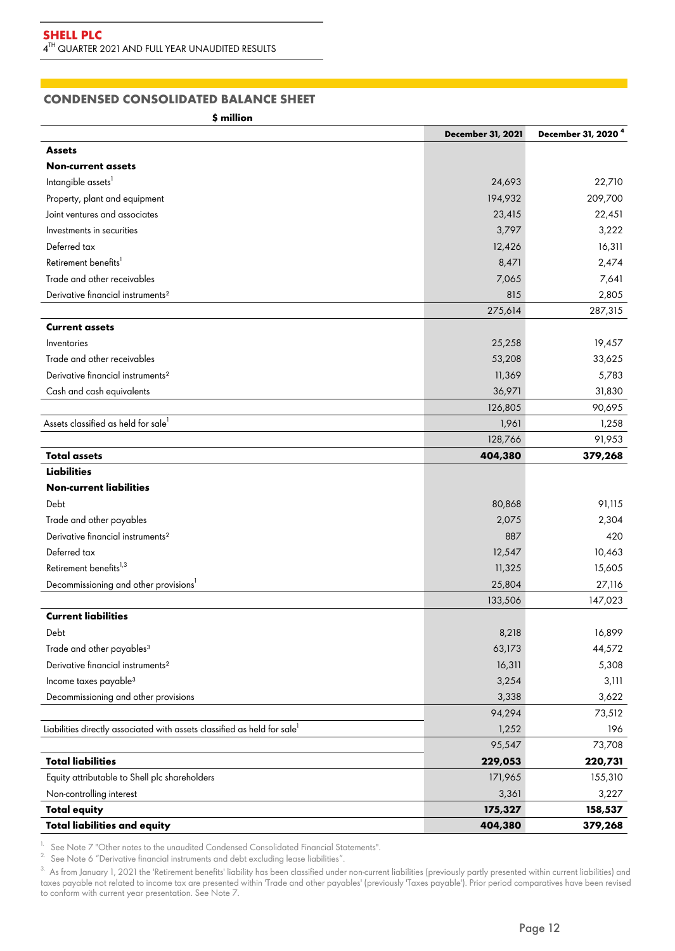# **CONDENSED CONSOLIDATED BALANCE SHEET**

**\$ million**

|                                                                                      | <b>December 31, 2021</b> | December 31, 2020 <sup>4</sup> |
|--------------------------------------------------------------------------------------|--------------------------|--------------------------------|
| <b>Assets</b>                                                                        |                          |                                |
| <b>Non-current assets</b>                                                            |                          |                                |
| Intangible assets <sup>1</sup>                                                       | 24,693                   | 22,710                         |
| Property, plant and equipment                                                        | 194,932                  | 209,700                        |
| Joint ventures and associates                                                        | 23,415                   | 22,451                         |
| Investments in securities                                                            | 3,797                    | 3,222                          |
| Deferred tax                                                                         | 12,426                   | 16,311                         |
| Retirement benefits <sup>1</sup>                                                     | 8,471                    | 2,474                          |
| Trade and other receivables                                                          | 7,065                    | 7,641                          |
| Derivative financial instruments <sup>2</sup>                                        | 815                      | 2,805                          |
|                                                                                      | 275,614                  | 287,315                        |
| <b>Current assets</b>                                                                |                          |                                |
| Inventories                                                                          | 25,258                   | 19,457                         |
| Trade and other receivables                                                          | 53,208                   | 33,625                         |
| Derivative financial instruments <sup>2</sup>                                        | 11,369                   | 5,783                          |
| Cash and cash equivalents                                                            | 36,971                   | 31,830                         |
|                                                                                      | 126,805                  | 90,695                         |
| Assets classified as held for sale <sup>1</sup>                                      | 1,961                    | 1,258                          |
|                                                                                      | 128,766                  | 91,953                         |
| <b>Total assets</b>                                                                  | 404,380                  | 379,268                        |
| <b>Liabilities</b>                                                                   |                          |                                |
| <b>Non-current liabilities</b>                                                       |                          |                                |
| Debt                                                                                 | 80,868                   | 91,115                         |
| Trade and other payables                                                             | 2,075                    | 2,304                          |
| Derivative financial instruments <sup>2</sup>                                        | 887                      | 420                            |
| Deferred tax                                                                         | 12,547                   | 10,463                         |
| Retirement benefits <sup>1,3</sup>                                                   | 11,325                   | 15,605                         |
| Decommissioning and other provisions <sup>1</sup>                                    | 25,804                   | 27,116                         |
|                                                                                      | 133,506                  | 147,023                        |
| <b>Current liabilities</b>                                                           |                          |                                |
| Debt                                                                                 | 8,218                    | 16,899                         |
| Trade and other payables <sup>3</sup>                                                | 63,173                   | 44,572                         |
| Derivative financial instruments <sup>2</sup>                                        | 16,311                   | 5,308                          |
| Income taxes payable <sup>3</sup>                                                    | 3,254                    | 3,111                          |
| Decommissioning and other provisions                                                 | 3,338                    | 3,622                          |
|                                                                                      | 94,294                   | 73,512                         |
| Liabilities directly associated with assets classified as held for sale <sup>1</sup> | 1,252                    | 196                            |
|                                                                                      | 95,547                   | 73,708                         |
| <b>Total liabilities</b>                                                             | 229,053                  | 220,731                        |
| Equity attributable to Shell plc shareholders                                        | 171,965                  | 155,310                        |
| Non-controlling interest                                                             | 3,361                    | 3,227                          |
| <b>Total equity</b>                                                                  | 175,327                  | 158,537                        |
| <b>Total liabilities and equity</b>                                                  | 404,380                  | 379,268                        |

<sup>1.</sup> See Note 7 "Other notes to the unaudited Condensed Consolidated Financial Statements".

2. See Note 6 "Derivative financial instruments and debt excluding lease liabilities".

 $^\text{3}$  As from January 1, 2021 the 'Retirement benefits' liability has been classified under non-current liabilities (previously partly presented within current liabilities) and taxes payable not related to income tax are presented within 'Trade and other payables' (previously 'Taxes payable'). Prior period comparatives have been revised to conform with current year presentation. See Note 7.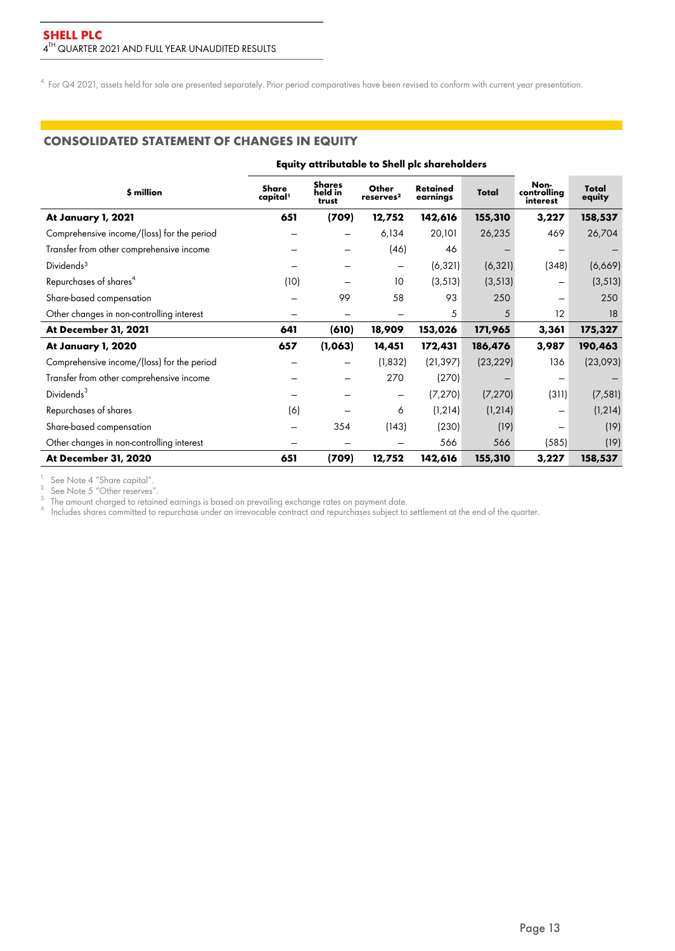<sup>4.</sup> For Q4 2021, assets held for sale are presented separately. Prior period comparatives have been revised to conform with current year presentation.

# **CONSOLIDATED STATEMENT OF CHANGES IN EQUITY**

|                                            | Equity attributable to Shell plc shareholders |                                   |                                |                             |           |                                 |                 |  |  |
|--------------------------------------------|-----------------------------------------------|-----------------------------------|--------------------------------|-----------------------------|-----------|---------------------------------|-----------------|--|--|
| \$ million                                 | Share<br>capital <sup>1</sup>                 | <b>Shares</b><br>held in<br>trust | Other<br>reserves <sup>2</sup> | <b>Retained</b><br>earnings | Total     | Non-<br>controlling<br>interest | Total<br>equity |  |  |
| At January 1, 2021                         | 651                                           | (709)                             | 12,752                         | 142,616                     | 155,310   | 3,227                           | 158,537         |  |  |
| Comprehensive income/(loss) for the period |                                               |                                   | 6,134                          | 20,101                      | 26,235    | 469                             | 26,704          |  |  |
| Transfer from other comprehensive income   |                                               |                                   | (46)                           | 46                          |           |                                 |                 |  |  |
| Dividends <sup>3</sup>                     |                                               |                                   | -                              | (6, 321)                    | (6,321)   | (348)                           | (6,669)         |  |  |
| Repurchases of shares <sup>4</sup>         | (10)                                          |                                   | 10                             | (3, 513)                    | (3, 513)  |                                 | (3, 513)        |  |  |
| Share-based compensation                   |                                               | 99                                | 58                             | 93                          | 250       |                                 | 250             |  |  |
| Other changes in non-controlling interest  |                                               |                                   |                                | 5                           | 5         | 12                              | 18              |  |  |
| At December 31, 2021                       | 641                                           | (610)                             | 18,909                         | 153,026                     | 171,965   | 3,361                           | 175,327         |  |  |
| At January 1, 2020                         | 657                                           | (1,063)                           | 14,451                         | 172,431                     | 186,476   | 3,987                           | 190,463         |  |  |
| Comprehensive income/(loss) for the period |                                               |                                   | (1, 832)                       | (21, 397)                   | (23, 229) | 136                             | (23,093)        |  |  |
| Transfer from other comprehensive income   |                                               |                                   | 270                            | (270)                       |           |                                 |                 |  |  |
| Dividends <sup>3</sup>                     |                                               |                                   | -                              | (7, 270)                    | (7, 270)  | (311)                           | (7, 581)        |  |  |
| Repurchases of shares                      | (6)                                           |                                   | 6                              | (1, 214)                    | (1, 214)  | -                               | (1, 214)        |  |  |
| Share-based compensation                   | -                                             | 354                               | (143)                          | (230)                       | (19)      | $\overline{\phantom{0}}$        | (19)            |  |  |
| Other changes in non-controlling interest  |                                               |                                   |                                | 566                         | 566       | (585)                           | (19)            |  |  |
| At December 31, 2020                       | 651                                           | (709)                             | 12,752                         | 142,616                     | 155,310   | 3,227                           | 158,537         |  |  |

 $1.$  See Note 4 "Share capital".

 $2.$  See Note 5 "Other reserves".

 $^{\text{3.}}$  The amount charged to retained earnings is based on prevailing exchange rates on payment date.

 $^{4}$  Includes shares committed to repurchase under an irrevocable contract and repurchases subject to settlement at the end of the quarter.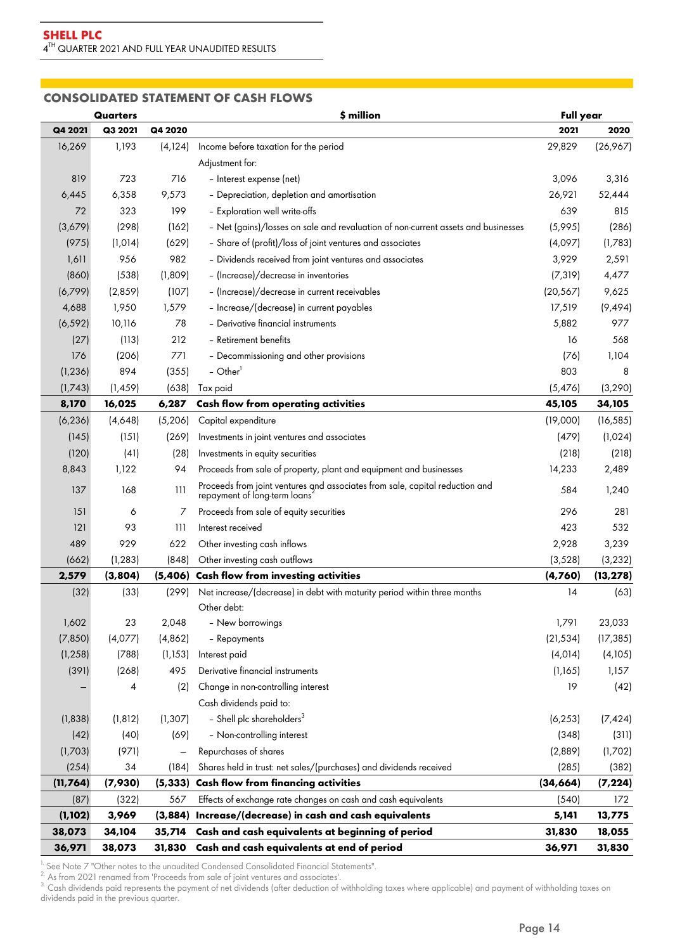### **CONSOLIDATED STATEMENT OF CASH FLOWS**

|           | <b>Quarters</b> |          | \$ million                                                                                                | <b>Full year</b> |           |
|-----------|-----------------|----------|-----------------------------------------------------------------------------------------------------------|------------------|-----------|
| Q4 2021   | Q3 2021         | Q4 2020  |                                                                                                           | 2021             | 2020      |
| 16,269    | 1,193           | (4,124)  | Income before taxation for the period                                                                     | 29,829           | (26,967)  |
|           |                 |          | Adjustment for:                                                                                           |                  |           |
| 819       | 723             | 716      | - Interest expense (net)                                                                                  | 3,096            | 3,316     |
| 6,445     | 6,358           | 9,573    | - Depreciation, depletion and amortisation                                                                | 26,921           | 52,444    |
| 72        | 323             | 199      | - Exploration well write-offs                                                                             |                  | 815       |
| (3,679)   | (298)           | (162)    | - Net (gains)/losses on sale and revaluation of non-current assets and businesses                         |                  | (286)     |
| (975)     | (1, 014)        | (629)    | - Share of (profit)/loss of joint ventures and associates                                                 | (4,097)          | (1,783)   |
| 1,611     | 956             | 982      | - Dividends received from joint ventures and associates                                                   | 3,929            | 2,591     |
| (860)     | (538)           | (1,809)  | - (Increase)/decrease in inventories                                                                      | (7, 319)         | 4,477     |
| (6,799)   | (2,859)         | (107)    | - (Increase)/decrease in current receivables                                                              | (20, 567)        | 9,625     |
| 4,688     | 1,950           | 1,579    | - Increase/(decrease) in current payables                                                                 | 17,519           | (9, 494)  |
| (6, 592)  | 10,116          | 78       | - Derivative financial instruments                                                                        | 5,882            | 977       |
| (27)      | (113)           | 212      | - Retirement benefits                                                                                     | 16               | 568       |
| 176       | (206)           | 771      | - Decommissioning and other provisions                                                                    | (76)             | 1,104     |
| (1, 236)  | 894             | (355)    | $-$ Other <sup>1</sup>                                                                                    | 803              | 8         |
| (1,743)   | (1, 459)        | (638)    | Tax paid                                                                                                  | (5,476)          | (3, 290)  |
| 8,170     | 16,025          | 6,287    | <b>Cash flow from operating activities</b>                                                                | 45,105           | 34,105    |
| (6, 236)  | (4,648)         | (5,206)  | Capital expenditure                                                                                       | (19,000)         | (16, 585) |
| (145)     | (151)           | (269)    | Investments in joint ventures and associates                                                              | (479)            | (1,024)   |
| (120)     | (41)            | (28)     | Investments in equity securities                                                                          | (218)            | (218)     |
| 8,843     | 1,122           | 94       | Proceeds from sale of property, plant and equipment and businesses                                        | 14,233           | 2,489     |
| 137       | 168             | 111      | Proceeds from joint ventures and associates from sale, capital reduction and repayment of long-term loans | 584              | 1,240     |
| 151       | 6               | 7        | Proceeds from sale of equity securities                                                                   | 296              | 281       |
| 121       | 93              | 111      | Interest received                                                                                         | 423              | 532       |
| 489       | 929             | 622      | Other investing cash inflows                                                                              | 2,928            | 3,239     |
| (662)     | (1, 283)        | (848)    | Other investing cash outflows                                                                             | (3, 528)         | (3, 232)  |
| 2,579     | (3,804)         | (5,406)  | <b>Cash flow from investing activities</b>                                                                | (4,760)          | (13, 278) |
| (32)      | (33)            | (299)    | Net increase/(decrease) in debt with maturity period within three months<br>Other debt:                   | 14               | (63)      |
| 1,602     | 23              | 2,048    | - New borrowings                                                                                          | 1,791            | 23,033    |
| (7, 850)  | (4,077)         | (4, 862) | - Repayments                                                                                              | (21, 534)        | (17, 385) |
| (1, 258)  | (788)           | (1, 153) | Interest paid                                                                                             | (4, 014)         | (4,105)   |
| (391)     | (268)           | 495      | Derivative financial instruments                                                                          | (1,165)          | 1,157     |
|           | 4               | (2)      | Change in non-controlling interest                                                                        | 19               | (42)      |
|           |                 |          | Cash dividends paid to:                                                                                   |                  |           |
| (1,838)   | (1, 812)        | (1, 307) | - Shell plc shareholders <sup>3</sup>                                                                     | (6, 253)         | (7, 424)  |
| (42)      | (40)            | (69)     | - Non-controlling interest                                                                                | (348)            | (311)     |
| (1,703)   | (971)           |          | Repurchases of shares                                                                                     | (2,889)          | (1,702)   |
| (254)     | 34              | (184)    | Shares held in trust: net sales/(purchases) and dividends received                                        | (285)            | (382)     |
| (11, 764) | (7,930)         | (5, 333) | <b>Cash flow from financing activities</b>                                                                | (34, 664)        | (7, 224)  |
| (87)      | (322)           | 567      | Effects of exchange rate changes on cash and cash equivalents                                             | (540)            | 172       |
| (1, 102)  | 3,969           | (3,884)  | Increase/(decrease) in cash and cash equivalents                                                          | 5,141            | 13,775    |
| 38,073    | 34,104          | 35,714   | Cash and cash equivalents at beginning of period                                                          | 31,830           | 18,055    |
| 36,971    | 38,073          | 31,830   | Cash and cash equivalents at end of period                                                                | 36,971           | 31,830    |

<sup>1.</sup> See Note 7 "Other notes to the unaudited Condensed Consolidated Financial Statements".

 $2.$  As from 2021 renamed from 'Proceeds from sale of joint ventures and associates'.

 $\rm{^{3}}$  Cash dividends paid represents the payment of net dividends (after deduction of withholding taxes where applicable) and payment of withholding taxes on dividends paid in the previous quarter.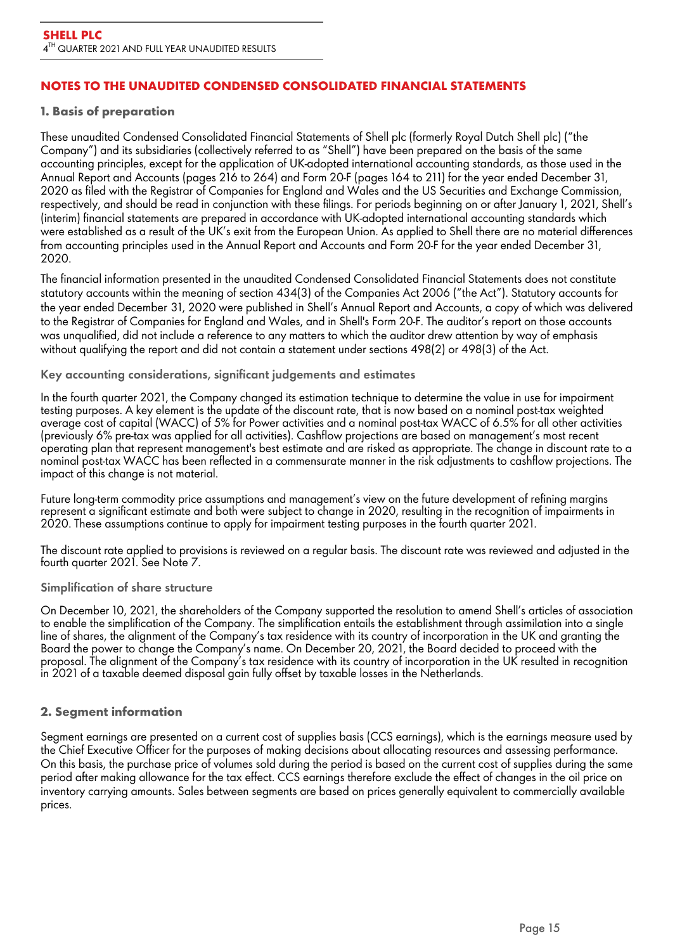# **NOTES TO THE UNAUDITED CONDENSED CONSOLIDATED FINANCIAL STATEMENTS**

## **1. Basis of preparation**

These unaudited Condensed Consolidated Financial Statements of Shell plc (formerly Royal Dutch Shell plc) ("the Company") and its subsidiaries (collectively referred to as "Shell") have been prepared on the basis of the same accounting principles, except for the application of UK-adopted international accounting standards, as those used in the Annual Report and Accounts (pages 216 to 264) and Form 20-F (pages 164 to 211) for the year ended December 31, 2020 as filed with the Registrar of Companies for England and Wales and the US Securities and Exchange Commission, respectively, and should be read in conjunction with these filings. For periods beginning on or after January 1, 2021, Shell's (interim) financial statements are prepared in accordance with UK-adopted international accounting standards which were established as a result of the UK's exit from the European Union. As applied to Shell there are no material differences from accounting principles used in the Annual Report and Accounts and Form 20-F for the year ended December 31, 2020.

The financial information presented in the unaudited Condensed Consolidated Financial Statements does not constitute statutory accounts within the meaning of section 434(3) of the Companies Act 2006 ("the Act"). Statutory accounts for the year ended December 31, 2020 were published in Shell's Annual Report and Accounts, a copy of which was delivered to the Registrar of Companies for England and Wales, and in Shell's Form 20-F. The auditor's report on those accounts was unqualified, did not include a reference to any matters to which the auditor drew attention by way of emphasis without qualifying the report and did not contain a statement under sections 498(2) or 498(3) of the Act.

Key accounting considerations, significant judgements and estimates

In the fourth quarter 2021, the Company changed its estimation technique to determine the value in use for impairment testing purposes. A key element is the update of the discount rate, that is now based on a nominal post-tax weighted average cost of capital (WACC) of 5% for Power activities and a nominal post-tax WACC of 6.5% for all other activities (previously 6% pre-tax was applied for all activities). Cashflow projections are based on management's most recent operating plan that represent management's best estimate and are risked as appropriate. The change in discount rate to a nominal post-tax WACC has been reflected in a commensurate manner in the risk adjustments to cashflow projections. The impact of this change is not material.

Future long-term commodity price assumptions and management's view on the future development of refining margins represent a significant estimate and both were subject to change in 2020, resulting in the recognition of impairments in 2020. These assumptions continue to apply for impairment testing purposes in the fourth quarter 2021.

The discount rate applied to provisions is reviewed on a regular basis. The discount rate was reviewed and adjusted in the fourth quarter 2021. See Note 7.

#### Simplification of share structure

On December 10, 2021, the shareholders of the Company supported the resolution to amend Shell's articles of association to enable the simplification of the Company. The simplification entails the establishment through assimilation into a single line of shares, the alignment of the Company's tax residence with its country of incorporation in the UK and granting the Board the power to change the Company's name. On December 20, 2021, the Board decided to proceed with the proposal. The alignment of the Company's tax residence with its country of incorporation in the UK resulted in recognition in 2021 of a taxable deemed disposal gain fully offset by taxable losses in the Netherlands.

## **2. Segment information**

Segment earnings are presented on a current cost of supplies basis (CCS earnings), which is the earnings measure used by the Chief Executive Officer for the purposes of making decisions about allocating resources and assessing performance. On this basis, the purchase price of volumes sold during the period is based on the current cost of supplies during the same period after making allowance for the tax effect. CCS earnings therefore exclude the effect of changes in the oil price on inventory carrying amounts. Sales between segments are based on prices generally equivalent to commercially available prices.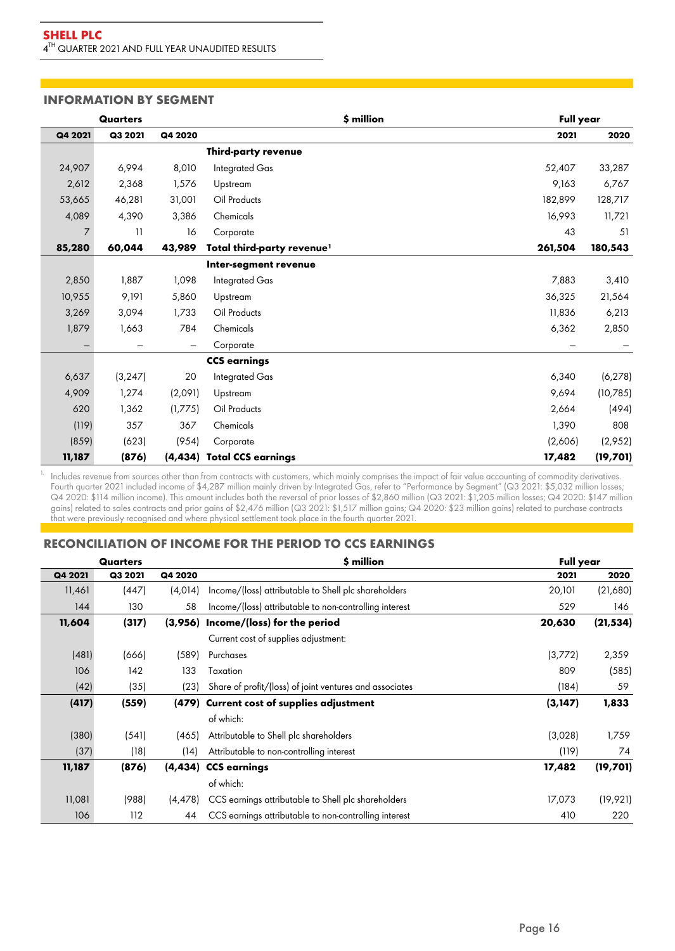## **INFORMATION BY SEGMENT**

| <b>Quarters</b> |          |          |                                        | \$ million |         | Full year |  |  |
|-----------------|----------|----------|----------------------------------------|------------|---------|-----------|--|--|
| Q4 2021         | Q3 2021  | Q4 2020  |                                        |            | 2021    | 2020      |  |  |
|                 |          |          | Third-party revenue                    |            |         |           |  |  |
| 24,907          | 6,994    | 8,010    | Integrated Gas                         |            | 52,407  | 33,287    |  |  |
| 2,612           | 2,368    | 1,576    | Upstream                               |            | 9,163   | 6,767     |  |  |
| 53,665          | 46,281   | 31,001   | Oil Products                           |            | 182,899 | 128,717   |  |  |
| 4,089           | 4,390    | 3,386    | Chemicals                              |            | 16,993  | 11,721    |  |  |
| 7               | 11       | 16       | Corporate                              |            | 43      | 51        |  |  |
| 85,280          | 60,044   | 43,989   | Total third-party revenue <sup>1</sup> |            | 261,504 | 180,543   |  |  |
|                 |          |          | Inter-segment revenue                  |            |         |           |  |  |
| 2,850           | 1,887    | 1,098    | <b>Integrated Gas</b>                  |            | 7,883   | 3,410     |  |  |
| 10,955          | 9,191    | 5,860    | Upstream                               |            | 36,325  | 21,564    |  |  |
| 3,269           | 3,094    | 1,733    | Oil Products                           |            | 11,836  | 6,213     |  |  |
| 1,879           | 1,663    | 784      | Chemicals                              |            | 6,362   | 2,850     |  |  |
|                 |          |          | Corporate                              |            |         |           |  |  |
|                 |          |          | <b>CCS earnings</b>                    |            |         |           |  |  |
| 6,637           | (3, 247) | 20       | Integrated Gas                         |            | 6,340   | (6, 278)  |  |  |
| 4,909           | 1,274    | (2,091)  | Upstream                               |            | 9,694   | (10, 785) |  |  |
| 620             | 1,362    | (1,775)  | Oil Products                           |            | 2,664   | (494)     |  |  |
| (119)           | 357      | 367      | Chemicals                              |            | 1,390   | 808       |  |  |
| (859)           | (623)    | (954)    | Corporate                              |            | (2,606) | (2,952)   |  |  |
| 11,187          | (876)    | (4, 434) | <b>Total CCS earnings</b>              |            | 17,482  | (19, 701) |  |  |

 $1$  Includes revenue from sources other than from contracts with customers, which mainly comprises the impact of fair value accounting of commodity derivatives. Fourth quarter 2021 included income of \$4,287 million mainly driven by Integrated Gas, refer to "Performance by Segment" (Q3 2021: \$5,032 million losses; Q4 2020: \$114 million income). This amount includes both the reversal of prior losses of \$2,860 million (Q3 2021: \$1,205 million losses; Q4 2020: \$147 million gains) related to sales contracts and prior gains of \$2,476 million (Q3 2021: \$1,517 million gains; Q4 2020: \$23 million gains) related to purchase contracts that were previously recognised and where physical settlement took place in the fourth quarter 2021.

## **RECONCILIATION OF INCOME FOR THE PERIOD TO CCS EARNINGS**

| Quarters |         |          | \$ million                                              | <b>Full year</b> |           |
|----------|---------|----------|---------------------------------------------------------|------------------|-----------|
| Q4 2021  | Q3 2021 | Q4 2020  |                                                         | 2021             | 2020      |
| 11,461   | (447)   | (4,014)  | Income/(loss) attributable to Shell plc shareholders    | 20,101           | (21,680)  |
| 144      | 130     | 58       | Income/(loss) attributable to non-controlling interest  | 529              | 146       |
| 11,604   | (317)   |          | (3,956) Income/(loss) for the period                    | 20,630           | (21, 534) |
|          |         |          | Current cost of supplies adjustment:                    |                  |           |
| (481)    | (666)   | (589)    | Purchases                                               | (3,772)          | 2,359     |
| 106      | 142     | 133      | Taxation                                                | 809              | (585)     |
| (42)     | (35)    | (23)     | Share of profit/(loss) of joint ventures and associates | (184)            | 59        |
| (417)    | (559)   |          | (479) Current cost of supplies adjustment               | (3, 147)         | 1,833     |
|          |         |          | of which:                                               |                  |           |
| (380)    | (541)   | (465)    | Attributable to Shell plc shareholders                  | (3,028)          | 1,759     |
| (37)     | (18)    | (14)     | Attributable to non-controlling interest                | (119)            | 74        |
| 11,187   | (876)   |          | (4,434) CCS earnings                                    | 17,482           | (19, 701) |
|          |         |          | of which:                                               |                  |           |
| 11,081   | (988)   | (4, 478) | CCS earnings attributable to Shell plc shareholders     | 17,073           | (19, 921) |
| 106      | 112     | 44       | CCS earnings attributable to non-controlling interest   | 410              | 220       |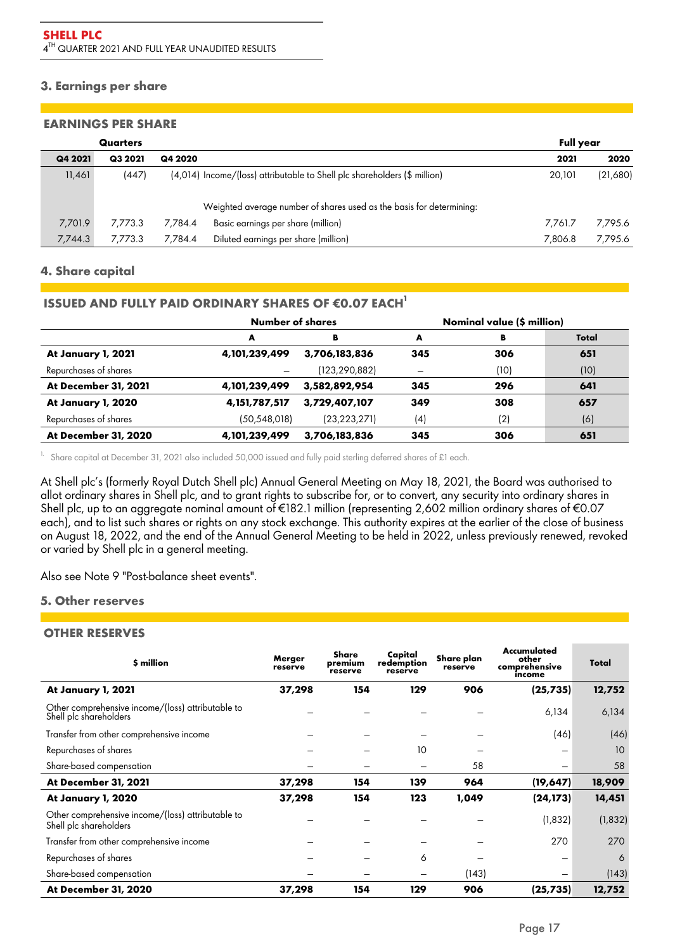# **3. Earnings per share**

#### **EARNINGS PER SHARE**

|         | Quarters |         |                                                                           | <b>Full year</b> |          |
|---------|----------|---------|---------------------------------------------------------------------------|------------------|----------|
| Q4 2021 | Q3 2021  | Q4 2020 |                                                                           | 2021             | 2020     |
| 11,461  | (447)    |         | (4,014) Income/(loss) attributable to Shell plc shareholders (\$ million) | 20.101           | (21,680) |
|         |          |         | Weighted average number of shares used as the basis for determining:      |                  |          |
| 7,701.9 | 7.773.3  | 7.784.4 | Basic earnings per share (million)                                        | 7.761.7          | 7,795.6  |
| 7,744.3 | 7.773.3  | 7.784.4 | Diluted earnings per share (million)                                      | 7,806.8          | 7,795.6  |

## **4. Share capital**

# **ISSUED AND FULLY PAID ORDINARY SHARES OF €0.07 EACH<sup>1</sup>**

|                       | <b>Number of shares</b> |                | Nominal value (\$ million) |      |       |
|-----------------------|-------------------------|----------------|----------------------------|------|-------|
|                       | A                       | в              | A                          | В    | Total |
| At January 1, 2021    | 4,101,239,499           | 3,706,183,836  | 345                        | 306  | 651   |
| Repurchases of shares |                         | (123,290,882)  | $\overline{\phantom{m}}$   | (10) | (10)  |
| At December 31, 2021  | 4,101,239,499           | 3,582,892,954  | 345                        | 296  | 641   |
| At January 1, 2020    | 4, 151, 787, 517        | 3,729,407,107  | 349                        | 308  | 657   |
| Repurchases of shares | (50, 548, 018)          | (23, 223, 271) | (4)                        | (2)  | (6)   |
| At December 31, 2020  | 4,101,239,499           | 3,706,183,836  | 345                        | 306  | 651   |

<sup>1.</sup> Share capital at December 31, 2021 also included 50,000 issued and fully paid sterling deferred shares of £1 each.

At Shell plc's (formerly Royal Dutch Shell plc) Annual General Meeting on May 18, 2021, the Board was authorised to allot ordinary shares in Shell plc, and to grant rights to subscribe for, or to convert, any security into ordinary shares in Shell plc, up to an aggregate nominal amount of €182.1 million (representing 2,602 million ordinary shares of €0.07 each), and to list such shares or rights on any stock exchange. This authority expires at the earlier of the close of business on August 18, 2022, and the end of the Annual General Meeting to be held in 2022, unless previously renewed, revoked or varied by Shell plc in a general meeting.

Also see Note 9 "Post-balance sheet events".

# **5. Other reserves**

## **OTHER RESERVES**

| \$ million                                                                  | Merger<br>reserve | Share<br>premium<br>reserve | Capital<br>redemption<br>reserve | Share plan<br>reserve | Accumulated<br>other<br>comprehensive<br>income | Total    |
|-----------------------------------------------------------------------------|-------------------|-----------------------------|----------------------------------|-----------------------|-------------------------------------------------|----------|
| At January 1, 2021                                                          | 37,298            | 154                         | 129                              | 906                   | (25, 735)                                       | 12,752   |
| Other comprehensive income/(loss) attributable to<br>Shell plc shareholders |                   |                             |                                  |                       | 6,134                                           | 6,134    |
| Transfer from other comprehensive income                                    |                   |                             |                                  |                       | (46)                                            | (46)     |
| Repurchases of shares                                                       |                   |                             | 10                               |                       |                                                 | 10       |
| Share-based compensation                                                    |                   |                             |                                  | 58                    |                                                 | 58       |
| At December 31, 2021                                                        | 37,298            | 154                         | 139                              | 964                   | (19, 647)                                       | 18,909   |
| At January 1, 2020                                                          | 37,298            | 154                         | 123                              | 1,049                 | (24, 173)                                       | 14,451   |
| Other comprehensive income/(loss) attributable to<br>Shell plc shareholders |                   |                             |                                  |                       | (1, 832)                                        | (1, 832) |
| Transfer from other comprehensive income                                    |                   |                             |                                  |                       | 270                                             | 270      |
| Repurchases of shares                                                       |                   |                             | 6                                |                       | -                                               | 6        |
| Share-based compensation                                                    |                   |                             |                                  | (143)                 |                                                 | (143)    |
| At December 31, 2020                                                        | 37,298            | 154                         | 129                              | 906                   | (25, 735)                                       | 12,752   |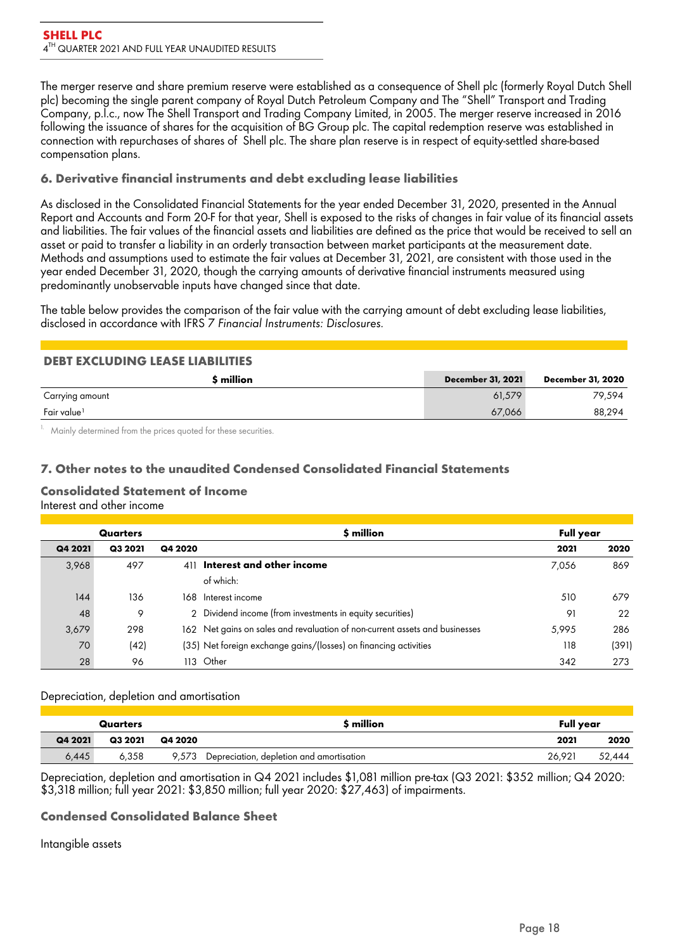The merger reserve and share premium reserve were established as a consequence of Shell plc (formerly Royal Dutch Shell plc) becoming the single parent company of Royal Dutch Petroleum Company and The "Shell" Transport and Trading Company, p.l.c., now The Shell Transport and Trading Company Limited, in 2005. The merger reserve increased in 2016 following the issuance of shares for the acquisition of BG Group plc. The capital redemption reserve was established in connection with repurchases of shares of Shell plc. The share plan reserve is in respect of equity-settled share-based compensation plans.

# **6. Derivative financial instruments and debt excluding lease liabilities**

As disclosed in the Consolidated Financial Statements for the year ended December 31, 2020, presented in the Annual Report and Accounts and Form 20-F for that year, Shell is exposed to the risks of changes in fair value of its financial assets and liabilities. The fair values of the financial assets and liabilities are defined as the price that would be received to sell an asset or paid to transfer a liability in an orderly transaction between market participants at the measurement date. Methods and assumptions used to estimate the fair values at December 31, 2021, are consistent with those used in the year ended December 31, 2020, though the carrying amounts of derivative financial instruments measured using predominantly unobservable inputs have changed since that date.

The table below provides the comparison of the fair value with the carrying amount of debt excluding lease liabilities, disclosed in accordance with IFRS 7 *Financial Instruments: Disclosures.*

# **DEBT EXCLUDING LEASE LIABILITIES**

| \$ million              | <b>December 31, 2021</b> | December 31, 2020 |
|-------------------------|--------------------------|-------------------|
| Carrying amount         | 61,579                   | 79,594            |
| Fair value <sup>1</sup> | 67,066                   | 88.294            |

Mainly determined from the prices quoted for these securities.

# **7. Other notes to the unaudited Condensed Consolidated Financial Statements**

#### **Consolidated Statement of Income** Interest and other income

| Quarters |         |         | \$ million                                                                  | Full year |       |
|----------|---------|---------|-----------------------------------------------------------------------------|-----------|-------|
| Q4 2021  | Q3 2021 | Q4 2020 |                                                                             | 2021      | 2020  |
| 3,968    | 497     | 411     | Interest and other income                                                   | 7,056     | 869   |
|          |         |         | of which:                                                                   |           |       |
| 144      | 136     | 168.    | Interest income                                                             | 510       | 679   |
| 48       | 9       |         | 2 Dividend income (from investments in equity securities)                   | -91       | 22    |
| 3,679    | 298     |         | 162 Net gains on sales and revaluation of non-current assets and businesses | 5.995     | 286   |
| 70       | (42)    |         | (35) Net foreign exchange gains/(losses) on financing activities            | 118       | (391) |
| 28       | 96      | 113     | Other                                                                       | 342       | 273   |

## Depreciation, depletion and amortisation

| Quarters |         |         | \$ million                               | Full year |        |
|----------|---------|---------|------------------------------------------|-----------|--------|
| Q4 2021  | Q3 2021 | Q4 2020 |                                          | 2021      | 2020   |
| 6,445    | 6.358   | 9.573   | Depreciation, depletion and amortisation | 26.921    | 52.444 |

Depreciation, depletion and amortisation in Q4 2021 includes \$1,081 million pre-tax (Q3 2021: \$352 million; Q4 2020: \$3,318 million; full year 2021: \$3,850 million; full year 2020: \$27,463) of impairments.

# **Condensed Consolidated Balance Sheet**

## Intangible assets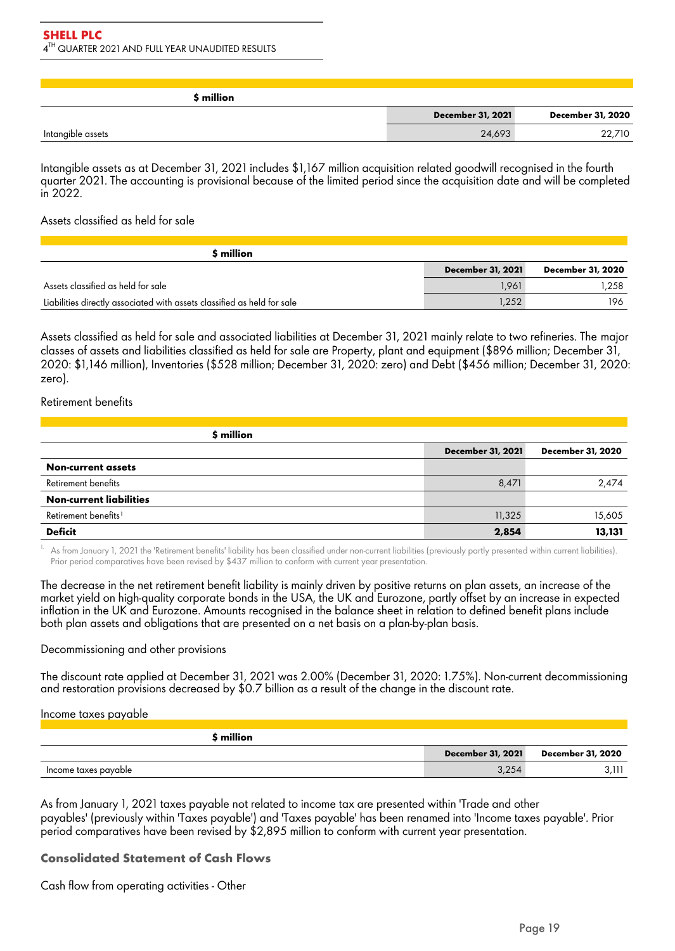| \$ million        |                          |                   |
|-------------------|--------------------------|-------------------|
|                   | <b>December 31, 2021</b> | December 31, 2020 |
| Intangible assets | 24,693                   | 22,710            |

Intangible assets as at December 31, 2021 includes \$1,167 million acquisition related goodwill recognised in the fourth quarter 2021. The accounting is provisional because of the limited period since the acquisition date and will be completed in 2022.

### Assets classified as held for sale

| \$ million                                                              |                   |                   |
|-------------------------------------------------------------------------|-------------------|-------------------|
|                                                                         | December 31, 2021 | December 31, 2020 |
| Assets classified as held for sale                                      | 1.961             | 1.258             |
| Liabilities directly associated with assets classified as held for sale | .252              | 196               |

Assets classified as held for sale and associated liabilities at December 31, 2021 mainly relate to two refineries. The major classes of assets and liabilities classified as held for sale are Property, plant and equipment (\$896 million; December 31, 2020: \$1,146 million), Inventories (\$528 million; December 31, 2020: zero) and Debt (\$456 million; December 31, 2020: zero).

### Retirement benefits

| \$ million                       |                          |                          |
|----------------------------------|--------------------------|--------------------------|
|                                  | <b>December 31, 2021</b> | <b>December 31, 2020</b> |
| <b>Non-current assets</b>        |                          |                          |
| Retirement benefits              | 8,471                    | 2.474                    |
| <b>Non-current liabilities</b>   |                          |                          |
| Retirement benefits <sup>1</sup> | 11,325                   | 15,605                   |
| <b>Deficit</b>                   | 2,854                    | 13,131                   |

As from January 1, 2021 the 'Retirement benefits' liability has been classified under non-current liabilities (previously partly presented within current liabilities). Prior period comparatives have been revised by \$437 million to conform with current year presentation.

The decrease in the net retirement benefit liability is mainly driven by positive returns on plan assets, an increase of the market yield on high-quality corporate bonds in the USA, the UK and Eurozone, partly offset by an increase in expected inflation in the UK and Eurozone. Amounts recognised in the balance sheet in relation to defined benefit plans include both plan assets and obligations that are presented on a net basis on a plan-by-plan basis.

#### Decommissioning and other provisions

The discount rate applied at December 31, 2021 was 2.00% (December 31, 2020: 1.75%). Non-current decommissioning and restoration provisions decreased by \$0.7 billion as a result of the change in the discount rate.

Income taxes payable

| \$ million           |                          |                   |
|----------------------|--------------------------|-------------------|
|                      | <b>December 31, 2021</b> | December 31, 2020 |
| Income taxes payable | 3,254                    |                   |

As from January 1, 2021 taxes payable not related to income tax are presented within 'Trade and other payables' (previously within 'Taxes payable') and 'Taxes payable' has been renamed into 'Income taxes payable'. Prior period comparatives have been revised by \$2,895 million to conform with current year presentation.

## **Consolidated Statement of Cash Flows**

Cash flow from operating activities - Other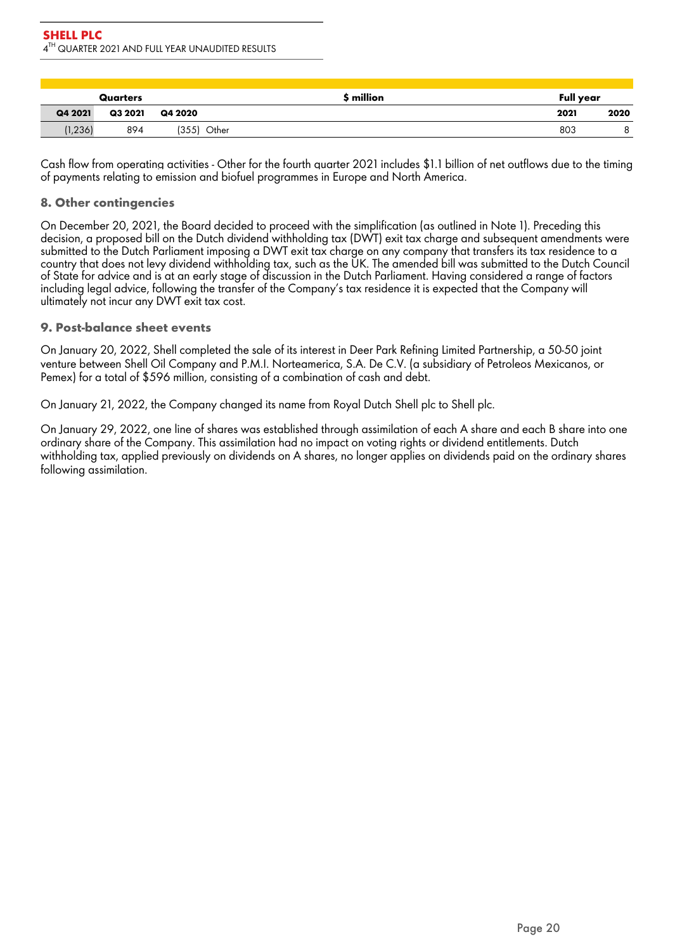|          | Quarters |               | \$ million | <b>Full year</b> |      |
|----------|----------|---------------|------------|------------------|------|
| Q4 2021  | Q3 2021  | Q4 2020       |            | 2021             | 2020 |
| (1, 236) | 894      | $(355)$ Other |            | 803              |      |

Cash flow from operating activities - Other for the fourth quarter 2021 includes \$1.1 billion of net outflows due to the timing of payments relating to emission and biofuel programmes in Europe and North America.

# **8. Other contingencies**

On December 20, 2021, the Board decided to proceed with the simplification (as outlined in Note 1). Preceding this decision, a proposed bill on the Dutch dividend withholding tax (DWT) exit tax charge and subsequent amendments were submitted to the Dutch Parliament imposing a DWT exit tax charge on any company that transfers its tax residence to a country that does not levy dividend withholding tax, such as the UK. The amended bill was submitted to the Dutch Council of State for advice and is at an early stage of discussion in the Dutch Parliament. Having considered a range of factors including legal advice, following the transfer of the Company's tax residence it is expected that the Company will ultimately not incur any DWT exit tax cost.

## **9. Post-balance sheet events**

On January 20, 2022, Shell completed the sale of its interest in Deer Park Refining Limited Partnership, a 50-50 joint venture between Shell Oil Company and P.M.I. Norteamerica, S.A. De C.V. (a subsidiary of Petroleos Mexicanos, or Pemex) for a total of \$596 million, consisting of a combination of cash and debt.

On January 21, 2022, the Company changed its name from Royal Dutch Shell plc to Shell plc.

On January 29, 2022, one line of shares was established through assimilation of each A share and each B share into one ordinary share of the Company. This assimilation had no impact on voting rights or dividend entitlements. Dutch withholding tax, applied previously on dividends on A shares, no longer applies on dividends paid on the ordinary shares following assimilation.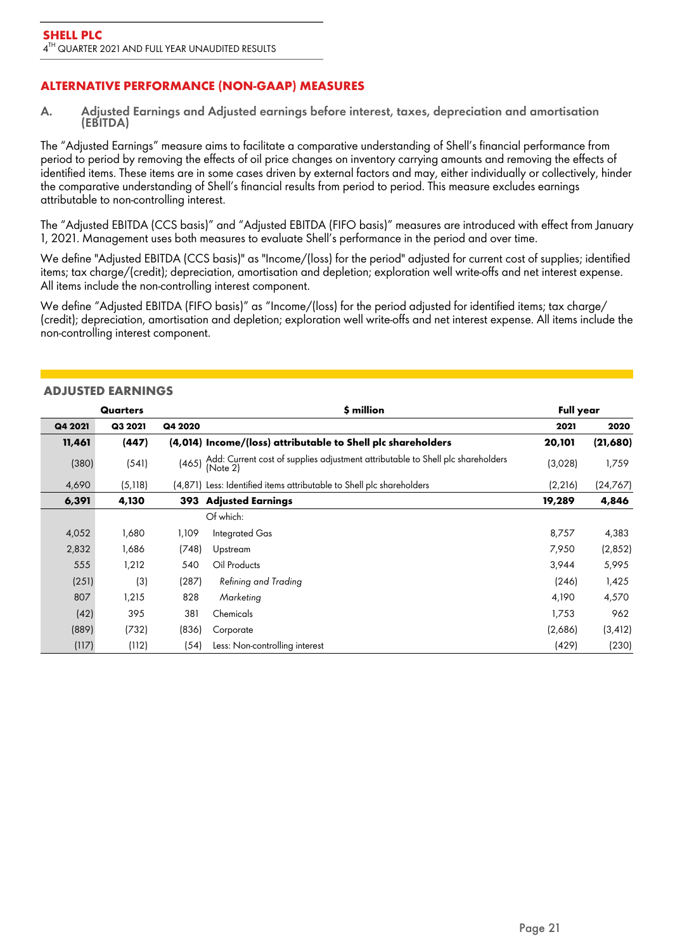# **ALTERNATIVE PERFORMANCE (NON-GAAP) MEASURES**

A. **Adjusted Earnings and Adjusted earnings before interest, taxes, depreciation and amortisation (EBITDA)** 

The "Adjusted Earnings" measure aims to facilitate a comparative understanding of Shell's financial performance from period to period by removing the effects of oil price changes on inventory carrying amounts and removing the effects of identified items. These items are in some cases driven by external factors and may, either individually or collectively, hinder the comparative understanding of Shell's financial results from period to period. This measure excludes earnings attributable to non-controlling interest.

The "Adjusted EBITDA (CCS basis)" and "Adjusted EBITDA (FIFO basis)" measures are introduced with effect from January 1, 2021. Management uses both measures to evaluate Shell's performance in the period and over time.

We define "Adjusted EBITDA (CCS basis)" as "Income/(loss) for the period" adjusted for current cost of supplies; identified items; tax charge/(credit); depreciation, amortisation and depletion; exploration well write-offs and net interest expense. All items include the non-controlling interest component.

We define "Adjusted EBITDA (FIFO basis)" as "Income/(loss) for the period adjusted for identified items; tax charge/ (credit); depreciation, amortisation and depletion; exploration well write-offs and net interest expense. All items include the non-controlling interest component.

|         | Quarters |         | \$ million                                                                                  | <b>Full year</b> |          |
|---------|----------|---------|---------------------------------------------------------------------------------------------|------------------|----------|
| Q4 2021 | Q3 2021  | Q4 2020 |                                                                                             | 2021             | 2020     |
| 11,461  | (447)    |         | (4,014) Income/(loss) attributable to Shell plc shareholders                                | 20,101           | (21,680) |
| (380)   | (541)    | (465)   | Add: Current cost of supplies adjustment attributable to Shell plc shareholders<br>(Note 2) | (3,028)          | 1,759    |
| 4,690   | (5, 118) |         | (4,871) Less: Identified items attributable to Shell plc shareholders                       | (2, 216)         | (24,767) |
| 6,391   | 4,130    | 393     | <b>Adjusted Earnings</b>                                                                    | 19,289           | 4,846    |
|         |          |         | Of which:                                                                                   |                  |          |
| 4,052   | 1,680    | 1,109   | Integrated Gas                                                                              | 8,757            | 4,383    |
| 2,832   | 1,686    | (748)   | Upstream                                                                                    | 7,950            | (2,852)  |
| 555     | 1,212    | 540     | Oil Products                                                                                | 3,944            | 5,995    |
| (251)   | (3)      | (287)   | Refining and Trading                                                                        | (246)            | 1,425    |
| 807     | 1,215    | 828     | Marketing                                                                                   | 4,190            | 4,570    |
| (42)    | 395      | 381     | Chemicals                                                                                   | 1,753            | 962      |
| (889)   | (732)    | (836)   | Corporate                                                                                   | (2,686)          | (3, 412) |
| (117)   | (112)    | (54)    | Less: Non-controlling interest                                                              | (429)            | (230)    |

### **ADJUSTED EARNINGS**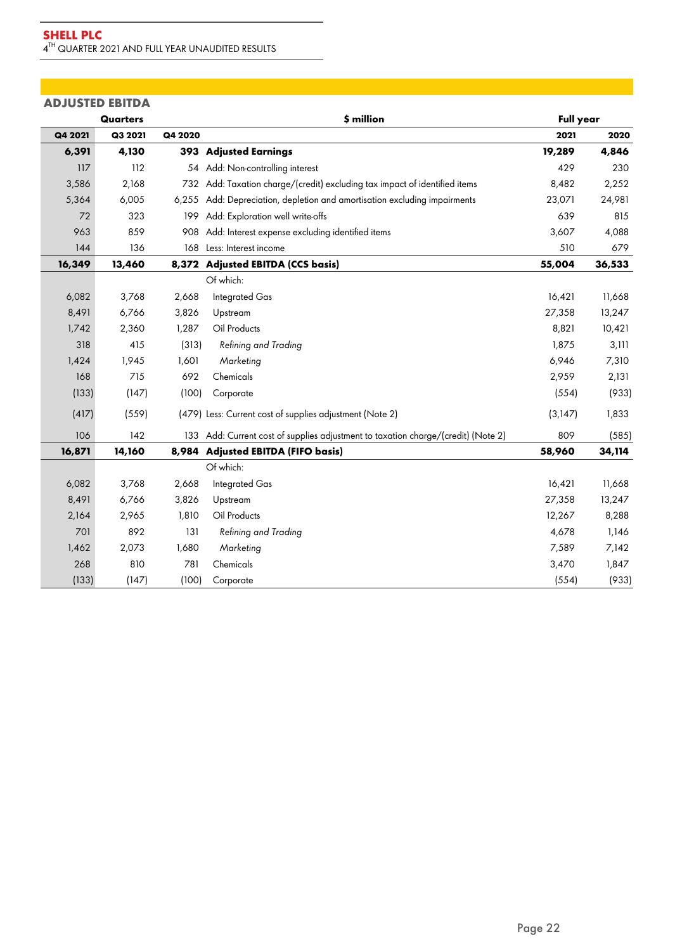| <b>ADJUSTED EBITDA</b> |                 |         |                                                                                   |                  |        |
|------------------------|-----------------|---------|-----------------------------------------------------------------------------------|------------------|--------|
|                        | <b>Quarters</b> |         | \$ million                                                                        | <b>Full year</b> |        |
| Q4 2021                | Q3 2021         | Q4 2020 |                                                                                   | 2021             | 2020   |
| 6,391                  | 4,130           | 393     | <b>Adjusted Earnings</b>                                                          | 19,289           | 4,846  |
| 117                    | 112             |         | 54 Add: Non-controlling interest                                                  | 429              | 230    |
| 3,586                  | 2,168           |         | 732 Add: Taxation charge/(credit) excluding tax impact of identified items        | 8,482            | 2,252  |
| 5,364                  | 6,005           | 6,255   | Add: Depreciation, depletion and amortisation excluding impairments               | 23,071           | 24,981 |
| 72                     | 323             | 199     | Add: Exploration well write-offs                                                  | 639              | 815    |
| 963                    | 859             | 908     | Add: Interest expense excluding identified items                                  | 3,607            | 4,088  |
| 144                    | 136             | 168     | Less: Interest income                                                             | 510              | 679    |
| 16,349                 | 13,460          | 8,372   | <b>Adjusted EBITDA (CCS basis)</b>                                                | 55,004           | 36,533 |
|                        |                 |         | Of which:                                                                         |                  |        |
| 6,082                  | 3,768           | 2,668   | Integrated Gas                                                                    | 16,421           | 11,668 |
| 8,491                  | 6,766           | 3,826   | Upstream                                                                          | 27,358           | 13,247 |
| 1,742                  | 2,360           | 1,287   | Oil Products                                                                      | 8,821            | 10,421 |
| 318                    | 415             | (313)   | Refining and Trading                                                              | 1,875            | 3,111  |
| 1,424                  | 1,945           | 1,601   | Marketing                                                                         | 6,946            | 7,310  |
| 168                    | 715             | 692     | Chemicals                                                                         | 2,959            | 2,131  |
| (133)                  | (147)           | (100)   | Corporate                                                                         | (554)            | (933)  |
| (417)                  | (559)           |         | (479) Less: Current cost of supplies adjustment (Note 2)                          | (3,147)          | 1,833  |
| 106                    | 142             |         | 133 Add: Current cost of supplies adjustment to taxation charge/(credit) (Note 2) | 809              | (585)  |
| 16,871                 | 14,160          |         | 8,984 Adjusted EBITDA (FIFO basis)                                                | 58,960           | 34,114 |
|                        |                 |         | Of which:                                                                         |                  |        |
| 6,082                  | 3,768           | 2,668   | <b>Integrated Gas</b>                                                             | 16,421           | 11,668 |
| 8,491                  | 6,766           | 3,826   | Upstream                                                                          | 27,358           | 13,247 |
| 2,164                  | 2,965           | 1,810   | Oil Products                                                                      | 12,267           | 8,288  |
| 701                    | 892             | 131     | Refining and Trading                                                              | 4,678            | 1,146  |
| 1,462                  | 2,073           | 1,680   | Marketing                                                                         | 7,589            | 7,142  |
| 268                    | 810             | 781     | Chemicals                                                                         | 3,470            | 1,847  |
| (133)                  | (147)           | (100)   | Corporate                                                                         | (554)            | (933)  |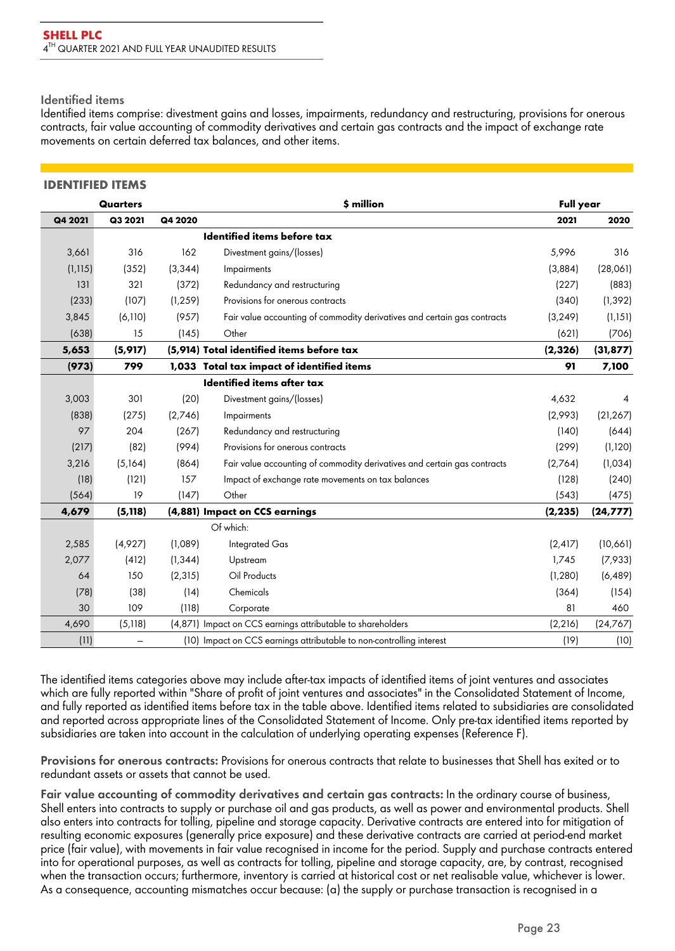### **Identified items**

Identified items comprise: divestment gains and losses, impairments, redundancy and restructuring, provisions for onerous contracts, fair value accounting of commodity derivatives and certain gas contracts and the impact of exchange rate movements on certain deferred tax balances, and other items.

### **IDENTIFIED ITEMS**

|          | <b>Quarters</b> |          | \$ million                                                               | <b>Full year</b> |           |
|----------|-----------------|----------|--------------------------------------------------------------------------|------------------|-----------|
| Q4 2021  | Q3 2021         | Q4 2020  |                                                                          | 2021             | 2020      |
|          |                 |          | Identified items before tax                                              |                  |           |
| 3,661    | 316             | 162      | Divestment gains/(losses)                                                | 5,996            | 316       |
| (1, 115) | (352)           | (3, 344) | Impairments                                                              | (3,884)          | (28,061)  |
| 131      | 321             | (372)    | Redundancy and restructuring                                             | (227)            | (883)     |
| (233)    | (107)           | (1, 259) | Provisions for onerous contracts                                         | (340)            | (1, 392)  |
| 3,845    | (6,110)         | (957)    | Fair value accounting of commodity derivatives and certain gas contracts | (3, 249)         | (1, 151)  |
| (638)    | 15              | (145)    | Other                                                                    | (621)            | (706)     |
| 5,653    | (5, 917)        |          | (5,914) Total identified items before tax                                | (2, 326)         | (31, 877) |
| (973)    | 799             |          | 1,033 Total tax impact of identified items                               | 91               | 7,100     |
|          |                 |          | Identified items after tax                                               |                  |           |
| 3,003    | 301             | (20)     | Divestment gains/(losses)                                                | 4,632            | 4         |
| (838)    | (275)           | (2,746)  | Impairments                                                              | (2,993)          | (21, 267) |
| 97       | 204             | (267)    | Redundancy and restructuring                                             | (140)            | (644)     |
| (217)    | (82)            | (994)    | Provisions for onerous contracts                                         | (299)            | (1, 120)  |
| 3,216    | (5,164)         | (864)    | Fair value accounting of commodity derivatives and certain gas contracts | (2,764)          | (1,034)   |
| (18)     | (121)           | 157      | Impact of exchange rate movements on tax balances                        | (128)            | (240)     |
| (564)    | 19              | (147)    | Other                                                                    | (543)            | (475)     |
| 4,679    | (5, 118)        |          | (4,881) Impact on CCS earnings                                           | (2, 235)         | (24, 777) |
|          |                 |          | Of which:                                                                |                  |           |
| 2,585    | (4,927)         | (1,089)  | <b>Integrated Gas</b>                                                    | (2, 417)         | (10,661)  |
| 2,077    | (412)           | (1, 344) | Upstream                                                                 | 1,745            | (7,933)   |
| 64       | 150             | (2, 315) | Oil Products                                                             | (1, 280)         | (6, 489)  |
| (78)     | (38)            | (14)     | Chemicals                                                                | (364)            | (154)     |
| 30       | 109             | (118)    | Corporate                                                                | 81               | 460       |
| 4,690    | (5, 118)        |          | (4,871) Impact on CCS earnings attributable to shareholders              | (2, 216)         | (24, 767) |
| (11)     |                 |          | (10) Impact on CCS earnings attributable to non-controlling interest     | (19)             | (10)      |

The identified items categories above may include after-tax impacts of identified items of joint ventures and associates which are fully reported within "Share of profit of joint ventures and associates" in the Consolidated Statement of Income, and fully reported as identified items before tax in the table above. Identified items related to subsidiaries are consolidated and reported across appropriate lines of the Consolidated Statement of Income. Only pre-tax identified items reported by subsidiaries are taken into account in the calculation of underlying operating expenses (Reference F).

Provisions for onerous contracts: Provisions for onerous contracts that relate to businesses that Shell has exited or to redundant assets or assets that cannot be used.

Fair value accounting of commodity derivatives and certain gas contracts: In the ordinary course of business, Shell enters into contracts to supply or purchase oil and gas products, as well as power and environmental products. Shell also enters into contracts for tolling, pipeline and storage capacity. Derivative contracts are entered into for mitigation of resulting economic exposures (generally price exposure) and these derivative contracts are carried at period-end market price (fair value), with movements in fair value recognised in income for the period. Supply and purchase contracts entered into for operational purposes, as well as contracts for tolling, pipeline and storage capacity, are, by contrast, recognised when the transaction occurs; furthermore, inventory is carried at historical cost or net realisable value, whichever is lower. As a consequence, accounting mismatches occur because: (a) the supply or purchase transaction is recognised in a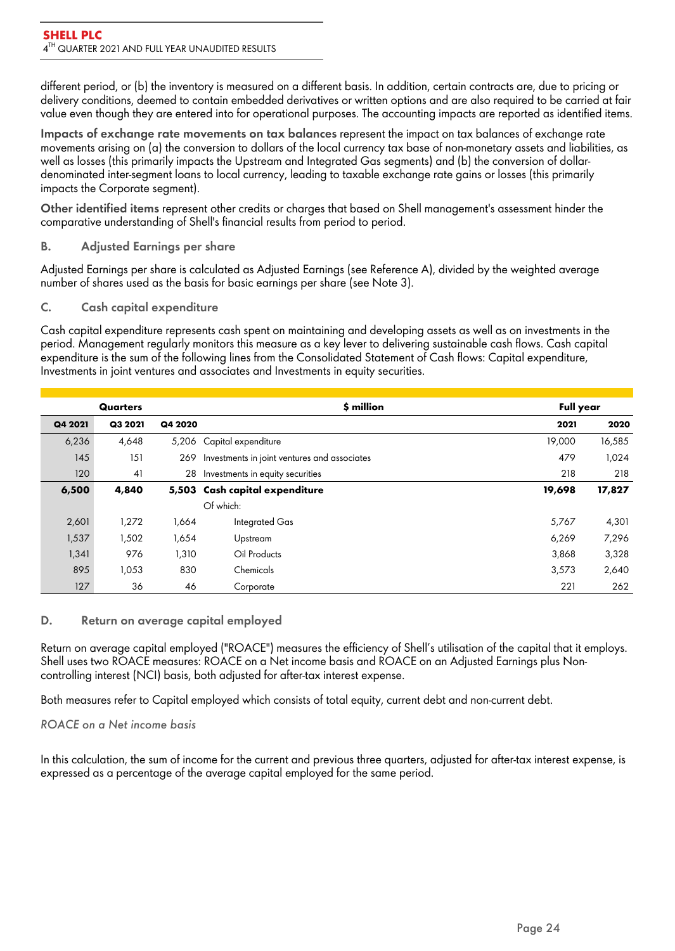different period, or (b) the inventory is measured on a different basis. In addition, certain contracts are, due to pricing or delivery conditions, deemed to contain embedded derivatives or written options and are also required to be carried at fair value even though they are entered into for operational purposes. The accounting impacts are reported as identified items.

**Impacts of exchange rate movements on tax balances** represent the impact on tax balances of exchange rate movements arising on (a) the conversion to dollars of the local currency tax base of non-monetary assets and liabilities, as well as losses (this primarily impacts the Upstream and Integrated Gas segments) and (b) the conversion of dollardenominated inter-segment loans to local currency, leading to taxable exchange rate gains or losses (this primarily impacts the Corporate segment).

**Other identified items** represent other credits or charges that based on Shell management's assessment hinder the comparative understanding of Shell's financial results from period to period.

# B. Adjusted Earnings per share

Adjusted Earnings per share is calculated as Adjusted Earnings (see Reference A), divided by the weighted average number of shares used as the basis for basic earnings per share (see Note 3).

# C. Cash capital expenditure

Cash capital expenditure represents cash spent on maintaining and developing assets as well as on investments in the period. Management regularly monitors this measure as a key lever to delivering sustainable cash flows. Cash capital expenditure is the sum of the following lines from the Consolidated Statement of Cash flows: Capital expenditure, Investments in joint ventures and associates and Investments in equity securities.

|         | Quarters |         | \$ million                                   | <b>Full year</b> |        |
|---------|----------|---------|----------------------------------------------|------------------|--------|
| Q4 2021 | Q3 2021  | Q4 2020 |                                              | 2021             | 2020   |
| 6,236   | 4,648    | 5,206   | Capital expenditure                          | 19,000           | 16,585 |
| 145     | 151      | 269     | Investments in joint ventures and associates | 479              | 1,024  |
| 120     | 41       | 28      | Investments in equity securities             | 218              | 218    |
| 6,500   | 4,840    |         | 5,503 Cash capital expenditure               | 19,698           | 17,827 |
|         |          |         | Of which:                                    |                  |        |
| 2,601   | 1,272    | 1,664   | Integrated Gas                               | 5,767            | 4,301  |
| 1,537   | 1,502    | 1,654   | Upstream                                     | 6,269            | 7,296  |
| 1,341   | 976      | 1,310   | Oil Products                                 | 3,868            | 3,328  |
| 895     | 1,053    | 830     | Chemicals                                    | 3,573            | 2,640  |
| 127     | 36       | 46      | Corporate                                    | 221              | 262    |

# D. Return on average capital employed

Return on average capital employed ("ROACE") measures the efficiency of Shell's utilisation of the capital that it employs. Shell uses two ROACE measures: ROACE on a Net income basis and ROACE on an Adjusted Earnings plus Noncontrolling interest (NCI) basis, both adjusted for after-tax interest expense.

Both measures refer to Capital employed which consists of total equity, current debt and non-current debt.

*ROACE on a Net income basis*

In this calculation, the sum of income for the current and previous three quarters, adjusted for after-tax interest expense, is expressed as a percentage of the average capital employed for the same period.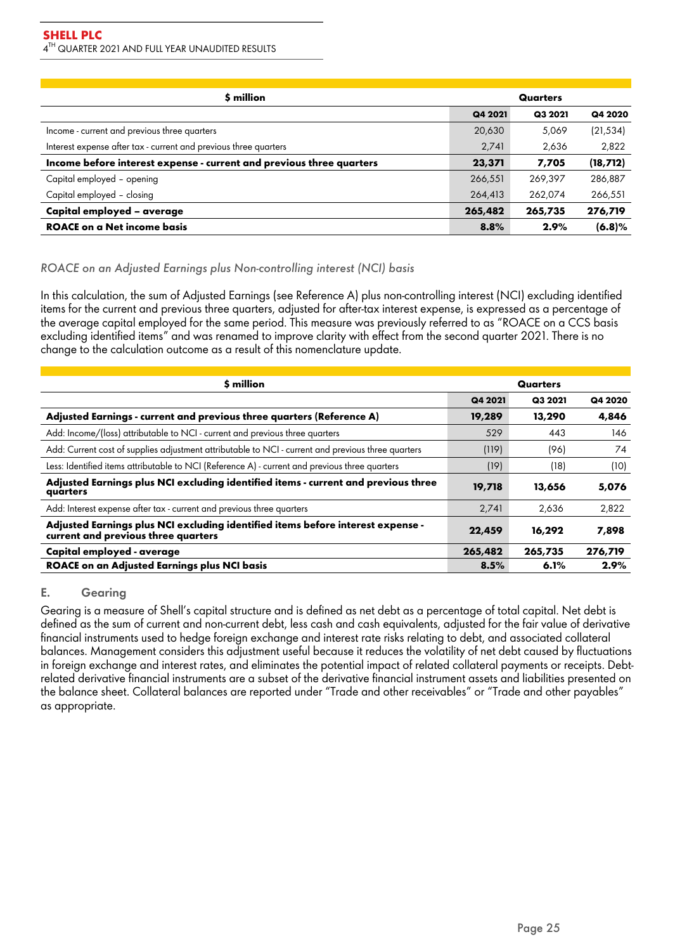| \$ million                                                           |         | Quarters |           |
|----------------------------------------------------------------------|---------|----------|-----------|
|                                                                      | Q4 2021 | Q3 2021  | Q4 2020   |
| Income - current and previous three quarters                         | 20,630  | 5,069    | (21,534)  |
| Interest expense after tax - current and previous three quarters     | 2,741   | 2,636    | 2,822     |
| Income before interest expense - current and previous three quarters | 23,371  | 7,705    | (18, 712) |
| Capital employed - opening                                           | 266,551 | 269,397  | 286,887   |
| Capital employed - closing                                           | 264,413 | 262,074  | 266,551   |
| Capital employed - average                                           | 265,482 | 265,735  | 276,719   |
| <b>ROACE on a Net income basis</b>                                   | 8.8%    | 2.9%     | (6.8)%    |

# *ROACE on an Adjusted Earnings plus Non-controlling interest (NCI) basis*

In this calculation, the sum of Adjusted Earnings (see Reference A) plus non-controlling interest (NCI) excluding identified items for the current and previous three quarters, adjusted for after-tax interest expense, is expressed as a percentage of the average capital employed for the same period. This measure was previously referred to as "ROACE on a CCS basis excluding identified items" and was renamed to improve clarity with effect from the second quarter 2021. There is no change to the calculation outcome as a result of this nomenclature update.

| \$ million                                                                                                             |         | Quarters |         |
|------------------------------------------------------------------------------------------------------------------------|---------|----------|---------|
|                                                                                                                        | Q4 2021 | Q3 2021  | Q4 2020 |
| Adjusted Earnings - current and previous three quarters (Reference A)                                                  | 19,289  | 13,290   | 4,846   |
| Add: Income/(loss) attributable to NCI - current and previous three quarters                                           | 529     | 443      | 146     |
| Add: Current cost of supplies adjustment attributable to NCI - current and previous three quarters                     | (119)   | (96)     | 74      |
| Less: Identified items attributable to NCI (Reference A) - current and previous three quarters                         | (19)    | (18)     | (10)    |
| Adjusted Earnings plus NCI excluding identified items - current and previous three<br>quarters                         | 19,718  | 13,656   | 5,076   |
| Add: Interest expense after tax - current and previous three quarters                                                  | 2,741   | 2,636    | 2,822   |
| Adjusted Earnings plus NCI excluding identified items before interest expense -<br>current and previous three quarters | 22,459  | 16,292   | 7,898   |
| Capital employed - average                                                                                             | 265,482 | 265,735  | 276,719 |
| <b>ROACE on an Adjusted Earnings plus NCI basis</b>                                                                    | 8.5%    | 6.1%     | 2.9%    |

## E. Gearing

Gearing is a measure of Shell's capital structure and is defined as net debt as a percentage of total capital. Net debt is defined as the sum of current and non-current debt, less cash and cash equivalents, adjusted for the fair value of derivative financial instruments used to hedge foreign exchange and interest rate risks relating to debt, and associated collateral balances. Management considers this adjustment useful because it reduces the volatility of net debt caused by fluctuations in foreign exchange and interest rates, and eliminates the potential impact of related collateral payments or receipts. Debtrelated derivative financial instruments are a subset of the derivative financial instrument assets and liabilities presented on the balance sheet. Collateral balances are reported under "Trade and other receivables" or "Trade and other payables" as appropriate.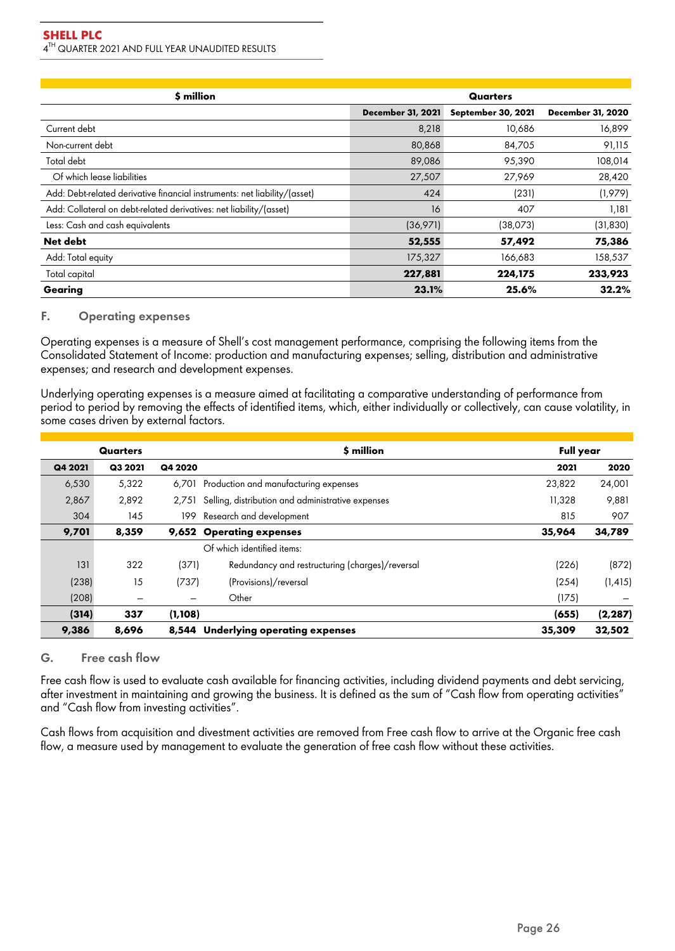| \$ million                                                                |                          | Quarters           |                          |
|---------------------------------------------------------------------------|--------------------------|--------------------|--------------------------|
|                                                                           | <b>December 31, 2021</b> | September 30, 2021 | <b>December 31, 2020</b> |
| Current debt                                                              | 8,218                    | 10,686             | 16,899                   |
| Non-current debt                                                          | 80,868                   | 84,705             | 91,115                   |
| Total debt                                                                | 89,086                   | 95,390             | 108,014                  |
| Of which lease liabilities                                                | 27,507                   | 27,969             | 28,420                   |
| Add: Debt-related derivative financial instruments: net liability/(asset) | 424                      | (231)              | (1,979)                  |
| Add: Collateral on debt-related derivatives: net liability/(asset)        | 16                       | 407                | 1,181                    |
| Less: Cash and cash equivalents                                           | (36,971)                 | (38,073)           | (31, 830)                |
| Net debt                                                                  | 52,555                   | 57,492             | 75,386                   |
| Add: Total equity                                                         | 175,327                  | 166,683            | 158,537                  |
| Total capital                                                             | 227,881                  | 224,175            | 233,923                  |
| Gearing                                                                   | 23.1%                    | 25.6%              | 32.2%                    |

### F. Operating expenses

Operating expenses is a measure of Shell's cost management performance, comprising the following items from the Consolidated Statement of Income: production and manufacturing expenses; selling, distribution and administrative expenses; and research and development expenses.

Underlying operating expenses is a measure aimed at facilitating a comparative understanding of performance from period to period by removing the effects of identified items, which, either individually or collectively, can cause volatility, in some cases driven by external factors.

|         | Quarters |          | \$ million                                        | <b>Full year</b> |          |
|---------|----------|----------|---------------------------------------------------|------------------|----------|
| Q4 2021 | Q3 2021  | Q4 2020  |                                                   | 2021             | 2020     |
| 6,530   | 5,322    | 6.701    | Production and manufacturing expenses             | 23,822           | 24,001   |
| 2,867   | 2,892    | 2.751    | Selling, distribution and administrative expenses | 11,328           | 9,881    |
| 304     | 145      | 199      | Research and development                          | 815              | 907      |
| 9,701   | 8,359    | 9,652    | <b>Operating expenses</b>                         | 35,964           | 34,789   |
|         |          |          | Of which identified items:                        |                  |          |
| 131     | 322      | (371)    | Redundancy and restructuring (charges)/reversal   | (226)            | (872)    |
| (238)   | 15       | (737)    | (Provisions)/reversal                             | (254)            | (1, 415) |
| (208)   | -        | —        | Other                                             | (175)            |          |
| (314)   | 337      | (1, 108) |                                                   | (655)            | (2, 287) |
| 9,386   | 8,696    | 8,544    | <b>Underlying operating expenses</b>              | 35,309           | 32,502   |

# G. Free cash flow

Free cash flow is used to evaluate cash available for financing activities, including dividend payments and debt servicing, after investment in maintaining and growing the business. It is defined as the sum of "Cash flow from operating activities" and "Cash flow from investing activities".

Cash flows from acquisition and divestment activities are removed from Free cash flow to arrive at the Organic free cash flow, a measure used by management to evaluate the generation of free cash flow without these activities.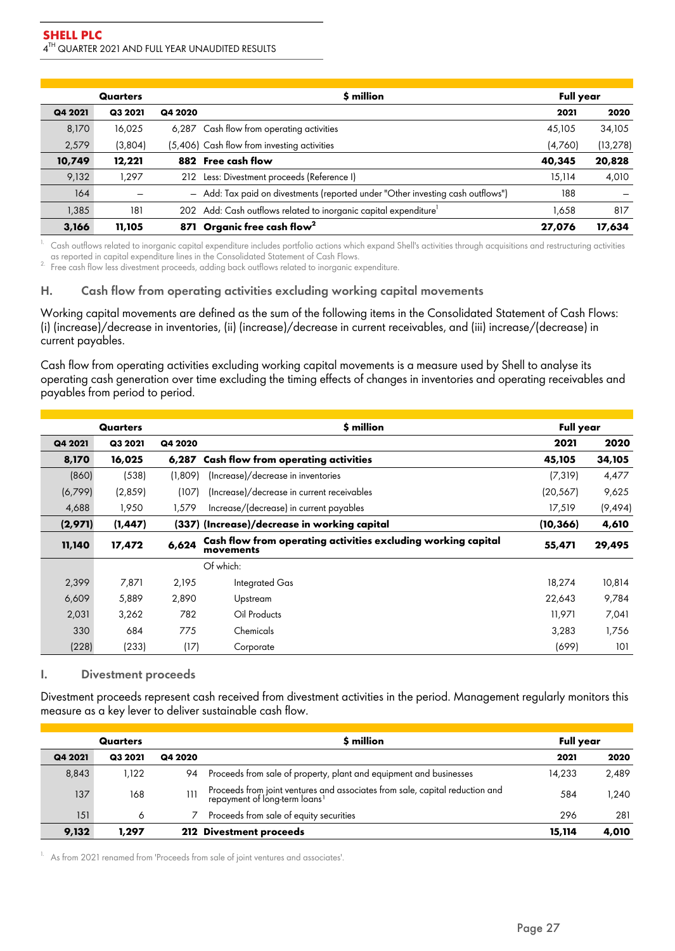|         | Quarters |         | \$ million                                                                      | <b>Full year</b> |           |
|---------|----------|---------|---------------------------------------------------------------------------------|------------------|-----------|
| Q4 2021 | Q3 2021  | Q4 2020 |                                                                                 | 2021             | 2020      |
| 8,170   | 16,025   |         | 6,287 Cash flow from operating activities                                       | 45,105           | 34,105    |
| 2,579   | (3,804)  |         | (5,406) Cash flow from investing activities                                     | (4,760)          | (13, 278) |
| 10,749  | 12,221   | 882     | Free cash flow                                                                  | 40,345           | 20,828    |
| 9,132   | 1.297    | 212     | Less: Divestment proceeds (Reference I)                                         | 15,114           | 4,010     |
| 164     |          |         | - Add: Tax paid on divestments (reported under "Other investing cash outflows") | 188              |           |
| 1,385   | 181      | 202     | Add: Cash outflows related to inorganic capital expenditure                     | 1,658            | 817       |
| 3.166   | 11,105   | 871     | Organic free cash flow <sup>2</sup>                                             | 27,076           | 17,634    |

 $1$ . Cash outflows related to inorganic capital expenditure includes portfolio actions which expand Shell's activities through acquisitions and restructuring activities as reported in capital expenditure lines in the Consolidated Statement of Cash Flows.

<sup>2</sup>. Free cash flow less divestment proceeds, adding back outflows related to inorganic expenditure.

# H. Cash flow from operating activities excluding working capital movements

Working capital movements are defined as the sum of the following items in the Consolidated Statement of Cash Flows: (i) (increase)/decrease in inventories, (ii) (increase)/decrease in current receivables, and (iii) increase/(decrease) in current payables.

Cash flow from operating activities excluding working capital movements is a measure used by Shell to analyse its operating cash generation over time excluding the timing effects of changes in inventories and operating receivables and payables from period to period.

|         | Quarters |         | \$ million                                                                 | <b>Full year</b> |          |
|---------|----------|---------|----------------------------------------------------------------------------|------------------|----------|
| Q4 2021 | Q3 2021  | Q4 2020 |                                                                            | 2021             | 2020     |
| 8,170   | 16,025   | 6,287   | Cash flow from operating activities                                        | 45,105           | 34,105   |
| (860)   | (538)    | (1.809) | (Increase)/decrease in inventories                                         | (7, 319)         | 4,477    |
| (6,799) | (2,859)  | (107)   | (Increase)/decrease in current receivables                                 | (20, 567)        | 9,625    |
| 4,688   | 1,950    | 1,579   | Increase/(decrease) in current payables                                    | 17,519           | (9, 494) |
| (2,971) | (1, 447) |         | (337) (Increase)/decrease in working capital                               | (10, 366)        | 4,610    |
| 11,140  | 17,472   | 6,624   | Cash flow from operating activities excluding working capital<br>movements | 55,471           | 29,495   |
|         |          |         | Of which:                                                                  |                  |          |
| 2,399   | 7,871    | 2,195   | Integrated Gas                                                             | 18,274           | 10,814   |
| 6,609   | 5,889    | 2,890   | Upstream                                                                   | 22,643           | 9,784    |
| 2,031   | 3,262    | 782     | Oil Products                                                               | 11,971           | 7,041    |
| 330     | 684      | 775     | Chemicals                                                                  | 3,283            | 1,756    |
| (228)   | (233)    | (17)    | Corporate                                                                  | (699)            | 101      |

#### I. Divestment proceeds

Divestment proceeds represent cash received from divestment activities in the period. Management regularly monitors this measure as a key lever to deliver sustainable cash flow.

|         | Quarters |         | \$ million                                                                                                                | <b>Full year</b> |       |
|---------|----------|---------|---------------------------------------------------------------------------------------------------------------------------|------------------|-------|
| Q4 2021 | Q3 2021  | Q4 2020 |                                                                                                                           | 2021             | 2020  |
| 8,843   | 1,122    | 94      | Proceeds from sale of property, plant and equipment and businesses                                                        | 14,233           | 2,489 |
| 137     | 168      | 111     | Proceeds from joint ventures and associates from sale, capital reduction and<br>repayment of long-term loans <sup>1</sup> | 584              | 1.240 |
| 151     | 6        |         | Proceeds from sale of equity securities                                                                                   | 296              | 281   |
| 9,132   | 1,297    |         | 212 Divestment proceeds                                                                                                   | 15,114           | 4,010 |

<sup>1.</sup> As from 2021 renamed from 'Proceeds from sale of joint ventures and associates'.